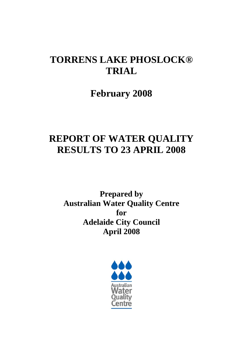# **TORRENS LAKE PHOSLOCK® TRIAL**

**February 2008** 

# **REPORT OF WATER QUALITY RESULTS TO 23 APRIL 2008**

**Prepared by Australian Water Quality Centre for Adelaide City Council April 2008** 

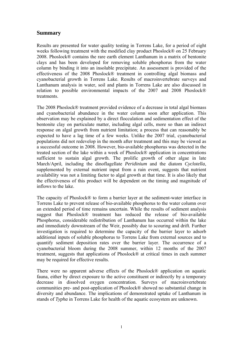### **Summary**

Results are presented for water quality testing in Torrens Lake, for a period of eight weeks following treatment with the modified clay product Phoslock® on 25 February 2008. Phoslock® contains the rare earth element Lanthanum in a matrix of bentonite clays and has been developed for removing soluble phosphorus from the water column by binding it into an insoluble precipitate. An assessment is provided of the effectiveness of the 2008 Phoslock® treatment in controlling algal biomass and cyanobacterial growth in Torrens Lake. Results of macroinvertebrate surveys and Lanthanum analysis in water, soil and plants in Torrens Lake are also discussed in relation to possible environmental impacts of the 2007 and 2008 Phoslock® treatments.

The 2008 Phoslock® treatment provided evidence of a decrease in total algal biomass and cyanobacterial abundance in the water column soon after application. This observation may be explained by a direct flocculation and sedimentation effect of the bentonite clay on particulate matter, including algal cells, more so than an indirect response on algal growth from nutrient limitation; a process that can reasonably be expected to have a lag time of a few weeks. Unlike the 2007 trial, cyanobacterial populations did not redevelop in the month after treatment and this may be viewed as a successful outcome in 2008. However, bio-available phosphorus was detected in the treated section of the lake within a week of Phoslock® application in concentrations sufficient to sustain algal growth. The prolific growth of other algae in late March/April, including the dinoflagellate *Peridinium* and the diatom *Cyclotella*, supplemented by external nutrient input from a rain event, suggests that nutrient availability was not a limiting factor to algal growth at that time. It is also likely that the effectiveness of this product will be dependent on the timing and magnitude of inflows to the lake.

The capacity of Phoslock® to form a barrier layer at the sediment-water interface in Torrens Lake to prevent release of bio-available phosphorus to the water column over an extended period of time remains uncertain. While the results of sediment analysis suggest that Phoslock® treatment has reduced the release of bio-available Phosphorus, considerable redistribution of Lanthanum has occurred within the lake and immediately downstream of the Weir, possibly due to scouring and drift. Further investigation is required to determine the capacity of the barrier layer to adsorb additional inputs of soluble phosphorus to Torrens Lake from external sources and to quantify sediment deposition rates over the barrier layer. The occurrence of a cyanobacterial bloom during the 2008 summer, within 12 months of the 2007 treatment, suggests that applications of Phoslock® at critical times in each summer may be required for effective results.

There were no apparent adverse effects of the Phoslock® application on aquatic fauna, either by direct exposure to the active constituent or indirectly by a temporary decrease in dissolved oxygen concentration. Surveys of macroinvertebrate communities pre- and post-application of Phoslock® showed no substantial change in diversity and abundance. The implications of demonstrated uptake of Lanthanum in stands of *Typha* in Torrens Lake for health of the aquatic ecosystem are unknown.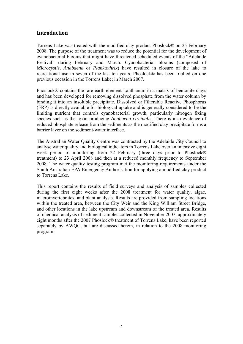# **Introduction**

Torrens Lake was treated with the modified clay product Phoslock® on 25 February 2008. The purpose of the treatment was to reduce the potential for the development of cyanobacterial blooms that might have threatened scheduled events of the "Adelaide Festival" during February and March. Cyanobacterial blooms (composed of *Microcystis*, *Anabaena* or *Planktothrix*) have resulted in closure of the lake to recreational use in seven of the last ten years. Phoslock® has been trialled on one previous occasion in the Torrens Lake; in March 2007.

Phoslock® contains the rare earth element Lanthanum in a matrix of bentonite clays and has been developed for removing dissolved phosphate from the water column by binding it into an insoluble precipitate. Dissolved or Filterable Reactive Phosphorus (FRP) is directly available for biological uptake and is generally considered to be the limiting nutrient that controls cyanobacterial growth, particularly nitrogen fixing species such as the toxin producing *Anabaena circinalis*. There is also evidence of reduced phosphate release from the sediments as the modified clay precipitate forms a barrier layer on the sediment-water interface.

The Australian Water Quality Centre was contracted by the Adelaide City Council to analyse water quality and biological indicators in Torrens Lake over an intensive eight week period of monitoring from 22 February (three days prior to Phoslock® treatment) to 23 April 2008 and then at a reduced monthly frequency to September 2008. The water quality testing program met the monitoring requirements under the South Australian EPA Emergency Authorisation for applying a modified clay product to Torrens Lake.

This report contains the results of field surveys and analysis of samples collected during the first eight weeks after the 2008 treatment for water quality, algae, macroinvertebrates, and plant analysis. Results are provided from sampling locations within the treated area, between the City Weir and the King William Street Bridge, and other locations in the lake upstream and downstream of the treated area. Results of chemical analysis of sediment samples collected in November 2007, approximately eight months after the 2007 Phoslock® treatment of Torrens Lake, have been reported separately by AWQC, but are discussed herein, in relation to the 2008 monitoring program.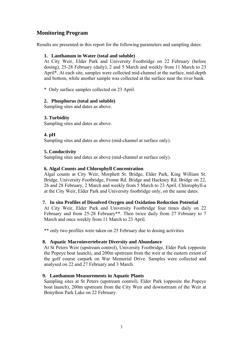# **Monitoring Program**

Results are presented in this report for the following parameters and sampling dates:

#### **1. Lanthanum in Water (total and soluble)**

At City Weir, Elder Park and University Footbridge on 22 February (before dosing), 25-28 February (daily), 2 and 5 March and weekly from 11 March to 23 April\*. At each site, samples were collected mid-channel at the surface, mid-depth and bottom, while another sample was collected at the surface near the river bank.

\* Only surface samples collected on 23 April.

#### **2. Phosphorus (total and soluble)**

Sampling sites and dates as above.

#### **3. Turbidity**

Sampling sites and dates as above.

#### **4. pH**

Sampling sites and dates as above (mid-channel at surface only).

#### **5. Conductivity**

Sampling sites and dates as above (mid-channel at surface only).

#### **6. Algal Counts and Chlorophyll Concentration**

Algal counts at City Weir, Morphett St. Bridge, Elder Park, King William St. Bridge, University Footbridge, Frome Rd. Bridge and Hackney Rd. Bridge on 22, 26 and 28 February, 2 March and weekly from 5 March to 23 April. Chlorophyll-a at the City Weir, Elder Park and University footbridge only, on the same dates.

#### **7. In situ Profiles of Dissolved Oxygen and Oxidation Reduction Potential**

At City Weir, Elder Park and University Footbridge four times daily on 22 February and from 25-28 February\*\*. Then twice daily from 27 February to 7 March and once weekly from 11 March to 23 April.

\*\* only two profiles were taken on 25 February due to dosing activities

#### **8. Aquatic Macroinvertebrate Diversity and Abundance**

At St Peters Weir (upstream control), University Footbridge, Elder Park (opposite the Popeye boat launch), and 200m upstream from the weir at the eastern extent of the golf course carpark on War Memorial Drive. Samples were collected and analysed on 22 and 27 February and 3 March.

#### **9. Lanthanum Measurements in Aquatic Plants**

Sampling sites at St Peters (upstream control), Elder Park (opposite the Popeye boat launch), 200m upstream from the City Weir and downstream of the Weir at Bonython Park Lake on 22 February.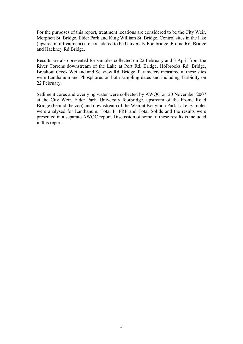For the purposes of this report, treatment locations are considered to be the City Weir, Morphett St. Bridge, Elder Park and King William St. Bridge. Control sites in the lake (upstream of treatment) are considered to be University Footbridge, Frome Rd. Bridge and Hackney Rd Bridge.

Results are also presented for samples collected on 22 February and 3 April from the River Torrens downstream of the Lake at Port Rd. Bridge, Holbrooks Rd. Bridge, Breakout Creek Wetland and Seaview Rd. Bridge. Parameters measured at these sites were Lanthanum and Phosphorus on both sampling dates and including Turbidity on 22 February.

Sediment cores and overlying water were collected by AWQC on 20 November 2007 at the City Weir, Elder Park, University footbridge, upstream of the Frome Road Bridge (behind the zoo) and downstream of the Weir at Bonython Park Lake. Samples were analysed for Lanthanum, Total P, FRP and Total Solids and the results were presented in a separate AWQC report. Discussion of some of these results is included in this report.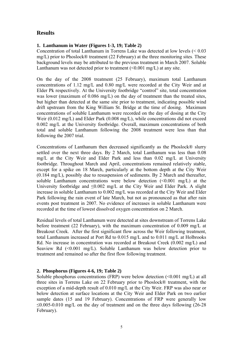# **Results**

#### **1. Lanthanum in Water (Figures 1-3, 19; Table 2)**

Concentration of total Lanthanum in Torrens Lake was detected at low levels (< 0.03 mg/L) prior to Phoslock® treatment (22 February) at the three monitoring sites. These background levels may be attributed to the previous treatment in March 2007. Soluble Lanthanum was not detected prior to treatment  $(\leq 0.001 \text{ mg/L})$  at any site.

On the day of the 2008 treatment (25 February), maximum total Lanthanum concentrations of 1.12 mg/L and 0.80 mg/L were recorded at the City Weir and at Elder Pk respectively. At the University footbridge "control" site, total concentration was lower (maximum of 0.086 mg/L) on the day of treatment than the treated sites, but higher than detected at the same site prior to treatment, indicating possible wind drift upstream from the King William St. Bridge at the time of dosing. Maximum concentrations of soluble Lanthanum were recorded on the day of dosing at the City Weir (0.012 mg/L) and Elder Park (0.008 mg/L), while concentrations did not exceed 0.002 mg/L at the University footbridge. Overall, maximum concentrations of both total and soluble Lanthanum following the 2008 treatment were less than that following the 2007 trial.

Concentrations of Lanthanum then decreased significantly as the Phoslock® slurry settled over the next three days. By 2 March, total Lanthanum was less than 0.08 mg/L at the City Weir and Elder Park and less than 0.02 mg/L at University footbridge. Throughout March and April, concentrations remained relatively stable, except for a spike on 18 March, particularly at the bottom depth at the City Weir (0.184 mg/L), possibly due to resuspension of sediments. By 2 March and thereafter, soluble Lanthanum concentrations were below detection (<0.001 mg/L) at the University footbridge and ≤0.002 mg/L at the City Weir and Elder Park. A slight increase in soluble Lanthanum to 0.002 mg/L was recorded at the City Weir and Elder Park following the rain event of late March, but not as pronounced as that after rain events post treatment in 2007. No evidence of increases in soluble Lanthanum were recorded at the time of lowest dissolved oxygen concentration on 2 March.

Residual levels of total Lanthanum were detected at sites downstream of Torrens Lake before treatment (22 February), with the maximum concentration of 0.009 mg/L at Breakout Creek. After the first significant flow across the Weir following treatment, total Lanthanum increased at Port Rd to 0.015 mg/L and to 0.011 mg/L at Holbrooks Rd. No increase in concentration was recorded at Breakout Creek (0.002 mg/L) and Seaview Rd  $(\leq 0.001 \text{ mg/L})$ . Soluble Lanthanum was below detection prior to treatment and remained so after the first flow following treatment.

#### **2. Phosphorus (Figures 4-6, 19; Table 2)**

Soluble phosphorus concentrations (FRP) were below detection  $\leq 0.001$  mg/L) at all three sites in Torrens Lake on 22 February prior to Phoslock® treatment, with the exception of a mid-depth result of 0.010 mg/L at the City Weir. FRP was also near or below detection at surface locations at the City Weir and Elder Park on two earlier sample dates (15 and 19 February). Concentrations of FRP were generally low  $\leq 0.005$ -0.010 mg/L on the day of treatment and on the three days following (26-28) February).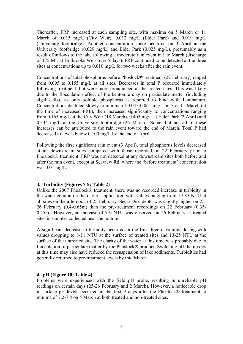Thereafter, FRP increased at each sampling site, with maxima on 5 March or 11 March of 0.015 mg/L (City Weir), 0.012 mg/L (Elder Park) and 0.019 mg/L (University footbridge). Another concentration spike occurred on 3 April at the University footbridge (0.029 mg/L) and Elder Park (0.025 mg/L), presumably as a result of inflows to the lake following a moderate rain event in late March (discharge of 175 ML at Holbrooks Weir over 5 days). FRP continued to be detected at the three sites at concentrations up to 0.016 mg/L for two weeks after the rain event.

Concentrations of total phosphorus before Phoslock® treatment (22 February) ranged from 0.095 to 0.155 mg/L at all sites. Decreases in total P occurred immediately following treatment, but were more pronounced at the treated sites. This was likely due to the flocculation effect of the bentonite clay on particulate matter (including algal cells), as only soluble phosphorus is reported to bind with Lanthanum. Concentrations declined slowly to minima of 0.045-0.061 mg/L on 5 or 11 March (at the time of increased FRP), then increased significantly to concentrations ranging from 0.165 mg/L at the City Weir (18 March), 0.405 mg/L at Elder Park (3 April) and 0.334 mg/L at the University footbridge (26 March). Some, but not all of these increases can be attributed to the rain event toward the end of March. Total P had decreased to levels below 0.100 mg/L by the end of April.

Following the first significant rain event (3 April), total phosphorus levels decreased at all downstream sites compared with those recorded on 22 February prior to Phoslock® treatment. FRP was not detected at any downstream sites both before and after the rain event, except at Seaview Rd, where the 'before treatment' concentration was 0.01 mg/L.

#### **3. Turbidity (Figures 7-9; Table 2)**

Unlike the 2007 Phoslock® treatment, there was no recorded increase in turbidity in the water column on the day of application, with values ranging from 19-35 NTU at all sites on the afternoon of 25 February. Secci Disc depth was slightly higher on 25- 26 February (0.4-0.65m) than the pre-treatment recordings on 22 February (0.35- 0.45m). However, an increase of 7-9 NTU was observed on 26 February at treated sites in samples collected near the bottom.

A significant decrease in turbidity occurred in the first three days after dosing with values dropping to 8-11 NTU at the surface of treated sites and 13-25 NTU at the surface of the untreated site. The clarity of the water at this time was probably due to flocculation of particulate matter by the Phoslock® product. Switching off the mixers at this time may also have reduced the resuspension of lake sediments. Turbidities had generally returned to pre-treatment levels by mid March.

#### **4. pH (Figure 10; Table 4)**

Problems were experienced with the field pH probe, resulting in unreliable pH readings on certain days (25-26 February and 2 March). However, a noticeable drop in surface pH levels occurred in the first 9 days after the Phoslock® treatment to minima of 7.2-7.4 on 5 March at both treated and non-treated sites.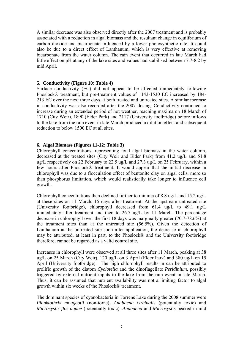A similar decrease was also observed directly after the 2007 treatment and is probably associated with a reduction in algal biomass and the resultant change in equilibrium of carbon dioxide and bicarbonate influenced by a lower photosynthetic rate. It could also be due to a direct effect of Lanthanum, which is very effective at removing bicarbonate from the water column. The rain event that occurred in late March had little effect on pH at any of the lake sites and values had stabilised between 7.7-8.2 by mid April.

#### **5. Conductivity (Figure 10; Table 4)**

Surface conductivity (EC) did not appear to be affected immediately following Phoslock® treatment, but pre-treatment values of 1143-1530 EC increased by 184- 213 EC over the next three days at both treated and untreated sites. A similar increase in conductivity was also recorded after the 2007 dosing. Conductivity continued to increase during an extended period of hot weather, reaching maxima on 18 March of 1710 (City Weir), 1890 (Elder Park) and 2117 (University footbridge) before inflows to the lake from the rain event in late March produced a dilution effect and subsequent reduction to below 1500 EC at all sites.

#### **6. Algal Biomass (Figures 11-12; Table 3)**

Chlorophyll concentrations, representing total algal biomass in the water column, decreased at the treated sites (City Weir and Elder Park) from 41.2 ug/L and 51.8 ug/L respectively on 22 February to 22.5 ug/L and 27.3 ug/L on 25 February, within a few hours after Phoslock® treatment. It would appear that the initial decrease in chlorophyll was due to a flocculation effect of bentonite clay on algal cells, more so than phosphorus limitation, which would realistically take longer to influence cell growth.

Chlorophyll concentrations then declined further to minima of 8.8 ug/L and 15.2 ug/L at these sites on 11 March, 15 days after treatment. At the upstream untreated site (University footbridge), chlorophyll decreased from 61.4 ug/L to 49.1 ug/L immediately after treatment and then to 26.7 ug/L by 11 March. The percentage decrease in chlorophyll over the first 18 days was marginally greater (70.7-78.6%) at the treatment sites than at the untreated site (56.5%). Given the detection of Lanthanum at the untreated site soon after application, the decrease in chlorophyll may be attributed, at least in part, to the Phoslock® and the University footbridge therefore, cannot be regarded as a valid control site.

Increases in chlorophyll were observed at all three sites after 11 March, peaking at 38 ug/L on 25 March (City Weir), 120 ug/L on 3 April (Elder Park) and 380 ug/L on 15 April (University footbridge). The high chlorophyll results in can be attributed to prolific growth of the diatom *Cyclotella* and the dinoflagellate *Peridinium*, possibly triggered by external nutrient inputs to the lake from the rain event in late March. Thus, it can be assumed that nutrient availability was not a limiting factor to algal growth within six weeks of the Phoslock® treatment.

The dominant species of cyanobacteria in Torrens Lake during the 2008 summer were *Planktothrix mougeotii* (non-toxic), *Anabaena circinalis* (potentially toxic) and *Microcystis flos-aquae* (potentially toxic). *Anabaena* and *Microcystis* peaked in mid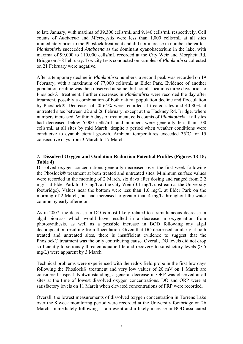to late January, with maxima of 39,300 cells/mL and 9,140 cells/mL respectively. Cell counts of *Anabaena* and *Microcystis* were less than 1,000 cells/mL at all sites immediately prior to the Phoslock treatment and did not increase in number thereafter. *Planktothrix* succeeded *Anabaena* as the dominant cyanobacterium in the lake, with maxima of 99,000 to 110,000 cells/mL recorded at the City Weir and Morphett Rd. Bridge on 5-8 February. Toxicity tests conducted on samples of *Planktothrix* collected on 21 February were negative.

After a temporary decline in *Planktothrix* numbers, a second peak was recorded on 19 February, with a maximum of 77,000 cells/mL at Elder Park. Evidence of another population decline was then observed at some, but not all locations three days prior to Phoslock® treatment. Further decreases in *Planktothrix* were recorded the day after treatment, possibly a combination of both natural population decline and flocculation by Phoslock®. Decreases of 20-64% were recorded at treated sites and 40-80% at untreated sites between 22 and 26 February, except at the Hackney Rd. Bridge, where numbers increased. Within 6 days of treatment, cells counts of *Planktothrix* at all sites had decreased below 5,000 cells/mL and numbers were generally less than 100 cells/mL at all sites by mid March, despite a period when weather conditions were conducive to cyanobacterial growth. Ambient temperatures exceeded 35°C for 15 consecutive days from 3 March to 17 March.

#### **7. Dissolved Oxygen and Oxidation-Reduction Potential Profiles (Figures 13-18; Table 4)**

Dissolved oxygen concentrations generally decreased over the first week following the Phoslock® treatment at both treated and untreated sites. Minimum surface values were recorded in the morning of 2 March, six days after dosing and ranged from 2.2 mg/L at Elder Park to 3.5 mg/L at the City Weir (3.1 mg/L upstream at the University footbridge). Values near the bottom were less than 1.0 mg/L at Elder Park on the morning of 2 March, but had increased to greater than 4 mg/L throughout the water column by early afternoon.

As in 2007, the decrease in DO is most likely related to a simultaneous decrease in algal biomass which would have resulted in a decrease in oxygenation from photosynthesis, as well as a possible increase in BOD following any algal decomposition resulting from flocculation. Given that DO decreased similarly at both treated and untreated sites, there is insufficient evidence to suggest that the Phoslock® treatment was the only contributing cause. Overall, DO levels did not drop sufficiently to seriously threaten aquatic life and recovery to satisfactory levels ( $> 5$ ) mg/L) were apparent by 3 March.

Technical problems were experienced with the redox field probe in the first few days following the Phoslock® treatment and very low values of 20 mV on 1 March are considered suspect. Notwithstanding, a general decrease in ORP was observed at all sites at the time of lowest dissolved oxygen concentrations. DO and ORP were at satisfactory levels on 11 March when elevated concentrations of FRP were recorded.

Overall, the lowest measurements of dissolved oxygen concentration in Torrens Lake over the 8 week monitoring period were recorded at the University footbridge on 26 March, immediately following a rain event and a likely increase in BOD associated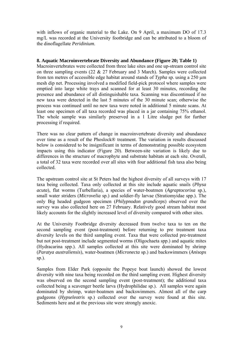with inflows of organic material to the Lake. On 9 April, a maximum DO of 17.3 mg/L was recorded at the University footbridge and can be attributed to a bloom of the dinoflagellate *Peridinium*.

#### **8. Aquatic Macroinvertebrate Diversity and Abundance (Figure 20; Table 1)**

Macroinvertebrates were collected from three lake sites and one up-stream control site on three sampling events (22 & 27 February and 3 March). Samples were collected from ten metres of accessible edge habitat around stands of *Typha* sp. using a 250 µm mesh dip net. Processing involved a modified field-pick protocol where samples were emptied into large white trays and scanned for at least 30 minutes, recording the presence and abundance of all distinguishable taxa. Scanning was discontinued if no new taxa were detected in the last 5 minutes of the 30 minute scan; otherwise the process was continued until no new taxa were noted in additional 5 minute scans. At least one specimen of all taxa recorded was placed in a jar containing 75% ethanol. The whole sample was similarly preserved in a 1 Litre sludge pot for further processing if required.

There was no clear pattern of change in macroinvertebrate diversity and abundance over time as a result of the Phoslock® treatment. The variation in results discussed below is considered to be insignificant in terms of demonstrating possible ecosystem impacts using this indicator (Figure 20). Between-site variation is likely due to differences in the structure of macrophyte and substrate habitats at each site. Overall, a total of 32 taxa were recorded over all sites with four additional fish taxa also being collected.

The upstream control site at St Peters had the highest diversity of all surveys with 17 taxa being collected. Taxa only collected at this site include aquatic snails (*Physa acuta*), flat worms (Turbellaria), a species of water-boatmen (*Agraptocorixa* sp.), small water striders (*Microvelia* sp.) and soldier-fly larvae (Stratiomyidae spp.). The only Big headed gudgeon specimen (*Philypnodon grandiceps*) observed over the survey was also collected here on 27 February. Relatively good stream habitat most likely accounts for the slightly increased level of diversity compared with other sites.

At the University Footbridge diversity decreased from twelve taxa to ten on the second sampling event (post-treatment) before returning to pre treatment taxa diversity levels on the third sampling event. Taxa that were collected pre-treatment but not post-treatment include segmented worms (Oligochaeta spp.) and aquatic mites (Hydracarina spp.). All samples collected at this site were dominated by shrimp (*Paratya australiensis*), water-boatmen (*Micronecta* sp.) and backswimmers (*Anisops* sp.).

Samples from Elder Park (opposite the Popeye boat launch) showed the lowest diversity with nine taxa being recorded on the third sampling event. Highest diversity was observed on the second sampling event (post-treatment); the additional taxa collected being a scavenger beetle larva (Hydrophilidae sp.). All samples were again dominated by shrimp, water-boatmen and backswimmers. Almost all of the carp gudgeons (*Hypseleotris* sp.) collected over the survey were found at this site. Sediments here and at the previous site were strongly anoxic.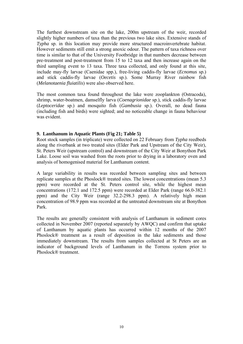The furthest downstream site on the lake, 200m upstream of the weir, recorded slightly higher numbers of taxa than the previous two lake sites. Extensive stands of *Typha* sp. in this location may provide more structured macroinvertebrate habitat. However sediments still emit a strong anoxic odour. The pattern of taxa richness over time is similar to that of the University Footbridge in that numbers decrease between pre-treatment and post-treatment from 15 to 12 taxa and then increase again on the third sampling event to 13 taxa. Three taxa collected, and only found at this site, include may-fly larvae (Caenidae spp.), free-living caddis-fly larvae (*Ecnomus* sp.) and stick caddis-fly larvae (*Oecetis* sp.). Some Murray River rainbow fish (*Melanotaenia fluiatilis*) were also observed here.

The most common taxa found throughout the lake were zooplankton (Ostracoda), shrimp, water-boatmen, damselfly larva (*Coenagrionidae* sp.), stick caddis-fly larvae (*Leptoceridae* sp.) and mosquito fish (*Gambusia* sp.). Overall, no dead fauna (including fish and birds) were sighted; and no noticeable change in fauna behaviour was evident.

#### **9. Lanthanum in Aquatic Plants (Fig 21; Table 5)**

Root stock samples (in triplicate) were collected on 22 February from *Typha* reedbeds along the riverbank at two treated sites (Elder Park and Upstream of the City Weir), St. Peters Weir (upstream control) and downstream of the City Weir at Bonython Park Lake. Loose soil was washed from the roots prior to drying in a laboratory oven and analysis of homogenised material for Lanthanum content.

A large variability in results was recorded between sampling sites and between replicate samples at the Phoslock® treated sites. The lowest concentrations (mean 5.3 ppm) were recorded at the St. Peters control site, while the highest mean concentrations (172.1 and 172.5 ppm) were recorded at Elder Park (range 66.0-382.1 ppm) and the City Weir (range 32.2-298.3 ppm). A relatively high mean concentration of 98.9 ppm was recorded at the untreated downstream site at Bonython Park.

The results are generally consistent with analysis of Lanthanum in sediment cores collected in November 2007 (reported separately by AWQC) and confirm that uptake of Lanthanum by aquatic plants has occurred within 12 months of the 2007 Phoslock® treatment as a result of deposition in the lake sediments and those immediately downstream. The results from samples collected at St Peters are an indicator of background levels of Lanthanum in the Torrens system prior to Phoslock® treatment.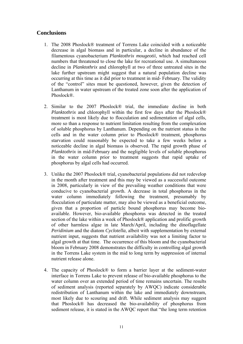## **Conclusions**

- 1. The 2008 Phoslock® treatment of Torrens Lake coincided with a noticeable decrease in algal biomass and in particular, a decline in abundance of the filamentous cyanobacterium *Planktothrix mougeotii*, which had reached cell numbers that threatened to close the lake for recreational use. A simultaneous decline in *Planktothrix* and chlorophyll at two of three untreated sites in the lake further upstream might suggest that a natural population decline was occurring at this time as it did prior to treatment in mid- February. The validity of the "control" sites must be questioned, however, given the detection of Lanthanum in water upstream of the treated zone soon after the application of Phoslock<sup>®</sup>
- 2. Similar to the 2007 Phoslock® trial, the immediate decline in both *Planktothrix* and chlorophyll within the first few days after the Phoslock® treatment is most likely due to flocculation and sedimentation of algal cells, more so than a response to nutrient limitation resulting from the complexation of soluble phosphorus by Lanthanum. Depending on the nutrient status in the cells and in the water column prior to Phoslock® treatment, phosphorus starvation could reasonably be expected to take a few weeks before a noticeable decline in algal biomass is observed. The rapid growth phase of *Planktothrix* in mid-February and the negligible levels of soluble phosphorus in the water column prior to treatment suggests that rapid uptake of phosphorus by algal cells had occurred.
- 3. Unlike the 2007 Phoslock® trial, cyanobacterial populations did not redevelop in the month after treatment and this may be viewed as a successful outcome in 2008, particularly in view of the prevailing weather conditions that were conducive to cyanobacterial growth. A decrease in total phosphorus in the water column immediately following the treatment, presumably by flocculation of particulate matter, may also be viewed as a beneficial outcome, given that a proportion of particle bound phosphorus may become bioavailable. However, bio-available phosphorus was detected in the treated section of the lake within a week of Phoslock® application and prolific growth of other harmless algae in late March/April, including the dinoflagellate *Peridinium* and the diatom *Cyclotella*, albeit with supplementation by external nutrient input, suggests that nutrient availability was not a limiting factor to algal growth at that time. The occurrence of this bloom and the cyanobacterial bloom in February 2008 demonstrates the difficulty in controlling algal growth in the Torrens Lake system in the mid to long term by suppression of internal nutrient release alone.
- 4. The capacity of Phoslock® to form a barrier layer at the sediment-water interface in Torrens Lake to prevent release of bio-available phosphorus to the water column over an extended period of time remains uncertain. The results of sediment analysis (reported separately by AWQC) indicate considerable redistribution of Lanthanum within the lake and immediately downstream, most likely due to scouring and drift. While sediment analysis may suggest that Phoslock® has decreased the bio-availability of phosphorus from sediment release, it is stated in the AWQC report that "the long term retention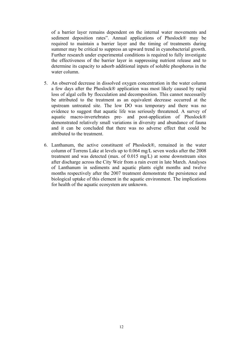of a barrier layer remains dependent on the internal water movements and sediment deposition rates". Annual applications of Phoslock® may be required to maintain a barrier layer and the timing of treatments during summer may be critical to suppress an upward trend in cyanobacterial growth. Further research under experimental conditions is required to fully investigate the effectiveness of the barrier layer in suppressing nutrient release and to determine its capacity to adsorb additional inputs of soluble phosphorus in the water column.

- 5. An observed decrease in dissolved oxygen concentration in the water column a few days after the Phoslock® application was most likely caused by rapid loss of algal cells by flocculation and decomposition. This cannot necessarily be attributed to the treatment as an equivalent decrease occurred at the upstream untreated site. The low DO was temporary and there was no evidence to suggest that aquatic life was seriously threatened. A survey of aquatic macro-invertebrates pre- and post-application of Phoslock® demonstrated relatively small variations in diversity and abundance of fauna and it can be concluded that there was no adverse effect that could be attributed to the treatment.
- 6. Lanthanum, the active constituent of Phoslock®, remained in the water column of Torrens Lake at levels up to 0.064 mg/L seven weeks after the 2008 treatment and was detected (max. of 0.015 mg/L) at some downstream sites after discharge across the City Weir from a rain event in late March. Analyses of Lanthanum in sediments and aquatic plants eight months and twelve months respectively after the 2007 treatment demonstrate the persistence and biological uptake of this element in the aquatic environment. The implications for health of the aquatic ecosystem are unknown.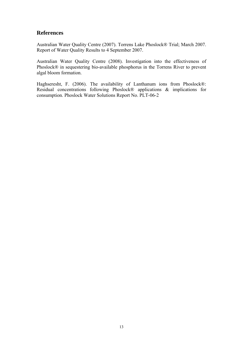### **References**

Australian Water Quality Centre (2007). Torrens Lake Phoslock® Trial; March 2007. Report of Water Quality Results to 4 September 2007.

Australian Water Quality Centre (2008). Investigation into the effectiveness of Phoslock® in sequestering bio-available phosphorus in the Torrens River to prevent algal bloom formation.

Haghseresht, F. (2006). The availability of Lanthanum ions from Phoslock®: Residual concentrations following Phoslock® applications & implications for consumption. Phoslock Water Solutions Report No. PLT-06-2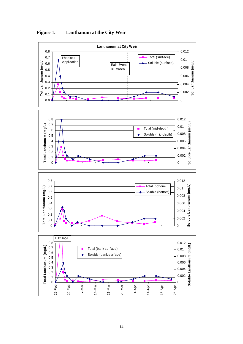

**Figure 1. Lanthanum at the City Weir**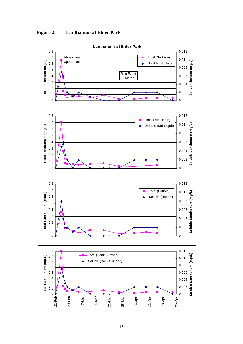

**Figure 2. Lanthanum at Elder Park**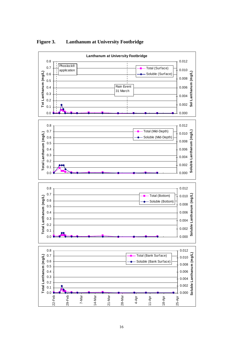

**Figure 3. Lanthanum at University Footbridge**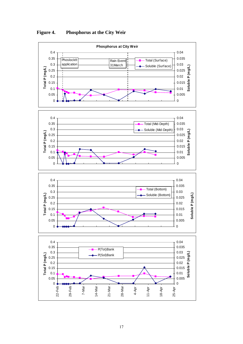

**Figure 4. Phosphorus at the City Weir**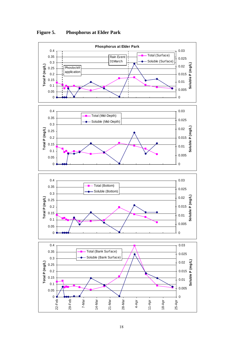

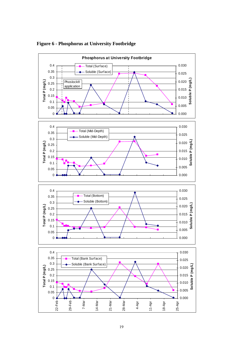

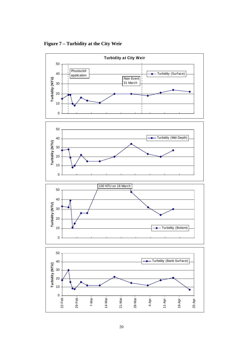**Turbidity at City Weir** 50 Phoslock® 40 Turbidity (Surface) application Rain Event Turbidity (NTU) **Turbidity (NTU)** 31 March 30 20 10 0 50 Turbidity (Mid-Depth) 40 Turbidity (NTU) **Turbidity (NTU)** 30 20 10 0 100 NTU on 18 March 50 40 Turbidity (NTU) **Turbidity (NTU)** 30 20 Turbidity (Bottom) 10 0 50 Turbidity (Bank Surface)40 Turbidity (NTU) **Turbidity (NTU)** 30 20 10 0  $22-Feb -$ 29-Feb 14-Mar 7-Mar 21-Mar 28-Mar 25-Apr 4-Apr 11-Apr 18-Apr

**Figure 7 – Turbidity at the City Weir**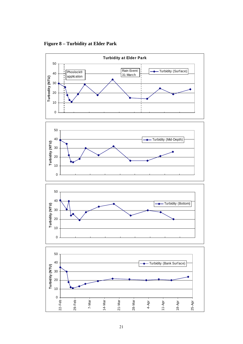**Turbidity at Elder Park**  50 Phoslock® Rain Event | Turbidity (Surface) Rain Event 40 31 March application Turbodity (NTU) **Turbodity (NTU)** 30 20 10 0 50 40 Turbidity (Mid-Depth) Turbidity (NTU) **Turbidity (NTU)** 30 20 10 0 50 40 Turbidity (Bottom) **Turbidity (NTU) Turbidity (NTU)** 30 20 10 0 50 40 Turbidity (Bank Surface)Turbidity (NTU) **Turbidity (NTU)** 30 20

**Figure 8 – Turbidity at Elder Park** 

21-Mar

28-Mar

4-Apr

11-Apr

18-Apr

25-Apr

 $0 -$ 

22-Feb

29-Feb

7-Mar

14-Mar

10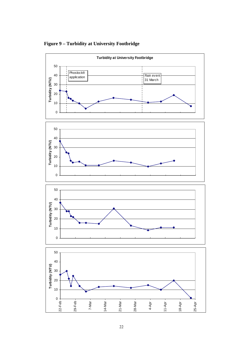

**Figure 9 – Turbidity at University Footbridge**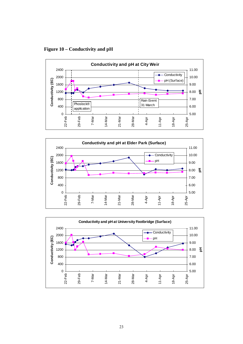**Figure 10 – Conductivity and pH** 





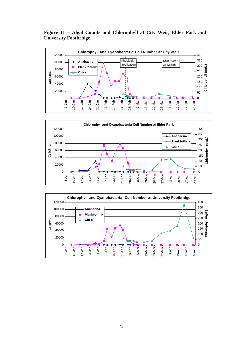**Figure 11 – Algal Counts and Chlorophyll at City Weir, Elder Park and University Footbridge** 





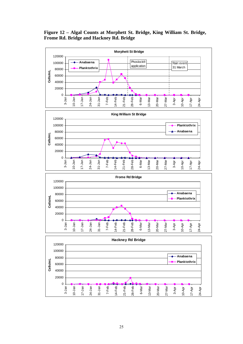**Figure 12 – Algal Counts at Morphett St. Bridge, King William St. Bridge, Frome Rd. Bridge and Hackney Rd. Bridge** 

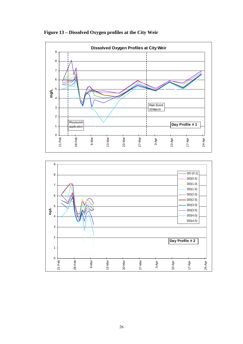



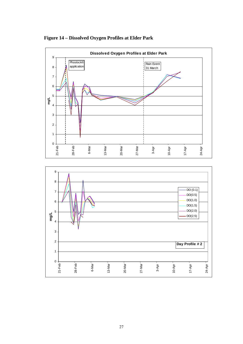

**Figure 14 – Dissolved Oxygen Profiles at Elder Park** 

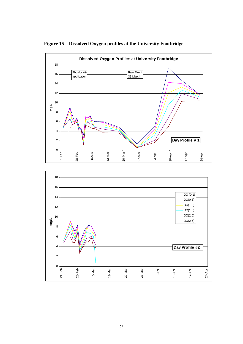

**Figure 15 – Dissolved Oxygen profiles at the University Footbridge** 

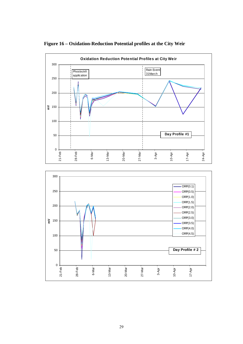

## **Figure 16 – Oxidation-Reduction Potential profiles at the City Weir**

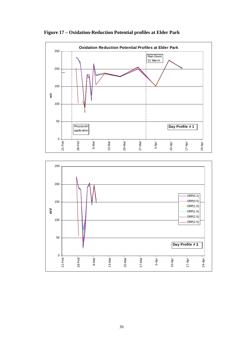

**Figure 17 – Oxidation-Reduction Potential profiles at Elder Park** 

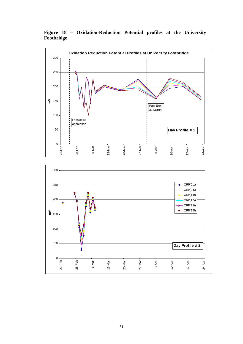**Figure 18 – Oxidation-Reduction Potential profiles at the University Footbridge** 



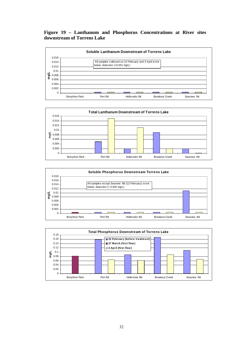#### **Figure 19 – Lanthanum and Phosphorus Concentrations at River sites downstream of Torrens Lake**







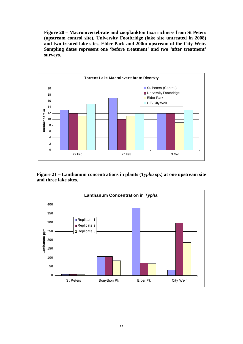**Figure 20 – Macroinvertebrate and zooplankton taxa richness from St Peters (upstream control site), University Footbridge (lake site untreated in 2008) and two treated lake sites, Elder Park and 200m upstream of the City Weir. Sampling dates represent one 'before treatment' and two 'after treatment' surveys.** 



**Figure 21 – Lanthanum concentrations in plants (***Typha* **sp.) at one upstream site and three lake sites.** 

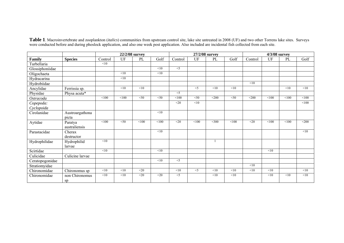|                 |                          |         | 22/2/08 survey |                  |                  |         |                   | 27/2/08 survey |        |         | 4/3/08 survey |       |         |
|-----------------|--------------------------|---------|----------------|------------------|------------------|---------|-------------------|----------------|--------|---------|---------------|-------|---------|
| Family          | <b>Species</b>           | Control | UF             | PL               | Golf             | Control | UF                | PL             | Golf   | Control | UF            | PL    | Golf    |
| Turbellaria     |                          | <10     |                |                  |                  |         |                   |                |        |         |               |       |         |
| Glossiphoniidae |                          |         |                |                  | <10              | $<$ 5   |                   |                |        |         |               |       |         |
| Oligochaeta     |                          |         | <10            |                  | <10              |         |                   |                |        |         |               |       |         |
| Hydracarina     |                          |         | <10            |                  |                  |         |                   |                |        |         |               |       |         |
| Hydrobiidae     |                          |         |                |                  |                  |         |                   |                |        | <10     |               |       |         |
| Ancylidae       | Ferrissia sp.            |         | <10            | <10              |                  |         | $\overline{\leq}$ | < 10           | < 10   |         |               | <10   | < 10    |
| Physidae        | Physa acuta <sup>*</sup> |         |                |                  |                  | $<$ 5   |                   |                |        |         |               |       |         |
| Ostracoda       |                          | < 100   | < 100          | $<$ 50           | $<$ 50           | < 100   | $<$ 50            | $<$ 200        | $<$ 50 | $<$ 200 | < 100         | < 100 | < 100   |
| Copepoda:       |                          |         |                |                  |                  | $20$    | < 10              |                |        |         |               |       | < 100   |
| Cyclopoida      |                          |         |                |                  |                  |         |                   |                |        |         |               |       |         |
| Cirolanidae     | Austroargathona          |         |                |                  | <10              |         |                   |                |        |         |               |       |         |
|                 | picta                    |         |                |                  |                  |         |                   |                |        |         |               |       |         |
| Aytidae         | Paratya                  | <100    | < 50           | $\overline{100}$ | < 100            | $<$ 20  | <100              | $<$ 300        | <100   | $<$ 20  | < 100         | <100  | $<$ 200 |
|                 | australiensis            |         |                |                  |                  |         |                   |                |        |         |               |       |         |
| Parastacidae    | Cherax                   |         |                |                  | <10              |         |                   |                |        |         |               |       | < 10    |
|                 | destructor               |         |                |                  |                  |         |                   |                |        |         |               |       |         |
| Hydrophilidae   | Hydrophilid              | <10     |                |                  |                  |         |                   |                |        |         |               |       |         |
|                 | larvae                   |         |                |                  |                  |         |                   |                |        |         |               |       |         |
| Scirtidae       |                          | <10     |                |                  | <10              |         |                   |                |        |         | <10           |       |         |
| Culicidae       | Culicine larvae          |         |                |                  |                  |         |                   |                |        |         |               |       |         |
| Ceratopogonidae |                          |         |                |                  | $\overline{<}10$ | $\leq$  |                   |                |        |         |               |       |         |
| Stratiomyidae   |                          |         |                |                  |                  |         |                   |                |        | <10     |               |       |         |
| Chironomidae    | Chironomus sp            | <10     | <10            | $<$ 20           |                  | <10     | $<$ 5             | < 10           | <10    | <10     | <10           |       | < 10    |
| Chironomidae    | non Chironomus           | <10     | < 10           | $<$ 20           | $20$             | $<$ 5   |                   | < 10           | <10    |         | <10           | <10   | < 10    |
|                 | sp                       |         |                |                  |                  |         |                   |                |        |         |               |       |         |

**Table 1**. Macroinvertebrate and zooplankton (*italics*) communities from upstream control site, lake site untreated in 2008 (UF) and two other Torrens lake sites. Surveys were conducted before and during phoslock application, and also one week post application. Also included are incidental fish collected from each site.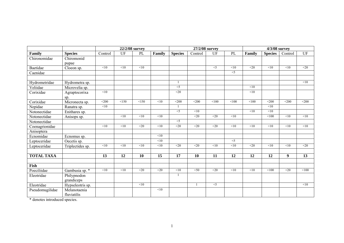|                   |                             |                      |                   | 22/2/08 survey    |                  |                  | 27/2/08 survey   |                   |                   | 4/3/08 survey     |                |                  |                   |
|-------------------|-----------------------------|----------------------|-------------------|-------------------|------------------|------------------|------------------|-------------------|-------------------|-------------------|----------------|------------------|-------------------|
| Family            | <b>Species</b>              | Control              | UF                | PL                | Family           | <b>Species</b>   | Control          | UF                | PL                | Family            | <b>Species</b> | Control          | UF                |
| Chironomidae      | Chiromonid<br>pupae         |                      |                   |                   |                  |                  |                  |                   |                   |                   |                |                  |                   |
| Baetidae          | Cloeon sp.                  | <10                  | <10               | <10               |                  |                  |                  | $<$ 5             | <10               | $20$              | <10            | <10              | $<$ 20            |
| Caenidae          |                             |                      |                   |                   |                  |                  |                  |                   | $<$ 5             |                   |                |                  |                   |
|                   |                             |                      |                   |                   |                  |                  |                  |                   |                   |                   |                |                  |                   |
| Hydrometridae     | Hydrometra sp.              |                      |                   |                   |                  |                  |                  |                   |                   |                   |                |                  | <10               |
| Veliidae          | Microvelia sp.              |                      |                   |                   |                  | $<$ 5            |                  |                   |                   | <10               |                |                  |                   |
| Corixidae         | Agraptocorixa<br>sp.        | $\leq 10$            |                   |                   |                  | $\overline{<}20$ |                  |                   |                   | $\overline{10}$   |                |                  |                   |
| Corixidae         | Micronecta sp.              | $\overline{\leq}200$ | $\overline{<}150$ | $\overline{<}150$ | $\overline{<}10$ | $\overline{200}$ | $\overline{200}$ | $\overline{$ 100  | $\overline{$ 100  | $\overline{<}100$ | $\sqrt{200}$   | $200$            | $\overline{200}$  |
| Nepidae           | Ranatra sp.                 | <10                  |                   |                   |                  |                  |                  |                   |                   |                   | <10            |                  |                   |
| Notonectidae      | Enithares sp.               |                      |                   |                   |                  | $\leq$           | <10              |                   |                   | <10               | <10            |                  |                   |
| Notonectidae      | Anisops sp.                 |                      | $\overline{10}$   | $\overline{10}$   | $\overline{10}$  |                  | $\overline{20}$  | $\overline{20}$   | $\overline{<}10$  |                   | $\sqrt{100}$   | $\overline{<}10$ | <10               |
| Notonectidae      |                             |                      |                   |                   |                  | $<$ 5            |                  |                   |                   |                   |                |                  |                   |
| Coenagrionidae    |                             | $\overline{<}10$     | <10               | $\overline{20}$   | $\overline{<}10$ | $\overline{<}20$ | $\overline{20}$  | $\overline{20}$   | $\overline{<}10$  | $\overline{10}$   | <10            | $\overline{<}10$ | <10               |
| Anisoptera        |                             |                      |                   |                   |                  |                  |                  |                   |                   |                   |                |                  |                   |
| Ecnomidae         | Ecnomus sp.                 |                      |                   |                   | <10              |                  |                  |                   |                   |                   |                |                  |                   |
| Leptoceridae      | Oecetis sp.                 |                      |                   |                   | $\leq 10$        |                  |                  |                   | $\overline{\leq}$ |                   |                |                  |                   |
| Leptoceridae      | Triplectides sp.            | <10                  | <10               | <10               | <10              | $<$ 20           | $<$ 20           | <10               | <10               | $<$ 20            | <10            | <10              | $<$ 20            |
|                   |                             |                      |                   |                   |                  |                  |                  |                   |                   |                   |                |                  |                   |
| <b>TOTAL TAXA</b> |                             | 13                   | 12                | 10                | 15               | 17               | 10               | 11                | 12                | 12                | 12             | 9                | 13                |
| Fish              |                             |                      |                   |                   |                  |                  |                  |                   |                   |                   |                |                  |                   |
| Poeciliidae       | Gambusia sp. *              | $\leq 10$            | <10               | $\overline{20}$   | $\overline{20}$  | $\leq 10$        | $\leq 50$        | $\overline{20}$   | $\leq 10$         | <10               | <100           | $\overline{<}20$ | $\overline{<}100$ |
| Eleotridae        | Philypnodon<br>grandiceps   |                      |                   |                   |                  |                  |                  |                   |                   |                   |                |                  |                   |
| Eleotridae        | Hypseleotris sp.            |                      |                   | <10               |                  |                  | 1                | $\overline{\leq}$ |                   |                   |                |                  | <10               |
| Pseudomugilidae   | Melanotaenia<br>fluviatilis |                      |                   |                   | $\overline{<}10$ |                  |                  |                   |                   |                   |                |                  |                   |

\* denotes introduced species.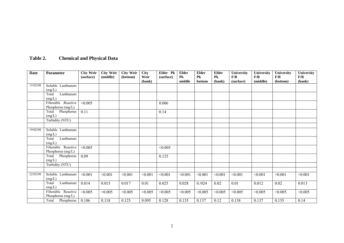# **Table 2. Chemical and Physical Data**

| <b>Date</b> | <b>Parameter</b>    | <b>City Weir</b><br>(surface) | <b>City Weir</b><br>(middle) | <b>City Weir</b><br>(bottom) | <b>City</b><br>Weir<br>(bank) | Elder Pk<br>(surface) | <b>Elder</b><br>Pk<br>middle | <b>Elder</b><br>Pk<br>bottom | <b>Elder</b><br>Pk<br>(bank) | University<br>F/B<br>(surface) | University<br>F/B<br>(middle) | University<br>F/B<br>(bottom) | University<br>F/B<br>(bank) |
|-------------|---------------------|-------------------------------|------------------------------|------------------------------|-------------------------------|-----------------------|------------------------------|------------------------------|------------------------------|--------------------------------|-------------------------------|-------------------------------|-----------------------------|
| 15/02/08    | Soluble Lanthanum   |                               |                              |                              |                               |                       |                              |                              |                              |                                |                               |                               |                             |
|             | (mg/L)              |                               |                              |                              |                               |                       |                              |                              |                              |                                |                               |                               |                             |
|             | Lanthanum<br>Total  |                               |                              |                              |                               |                       |                              |                              |                              |                                |                               |                               |                             |
|             | (mg/L)              |                               |                              |                              |                               |                       |                              |                              |                              |                                |                               |                               |                             |
|             | Filterable Reactive | < 0.005                       |                              |                              |                               | 0.006                 |                              |                              |                              |                                |                               |                               |                             |
|             | Phosphorus (mg/L)   |                               |                              |                              |                               |                       |                              |                              |                              |                                |                               |                               |                             |
|             | Phosphorus<br>Total | 0.11                          |                              |                              |                               | 0.14                  |                              |                              |                              |                                |                               |                               |                             |
|             | (mg/L)              |                               |                              |                              |                               |                       |                              |                              |                              |                                |                               |                               |                             |
|             | Turbidity (NTU)     |                               |                              |                              |                               |                       |                              |                              |                              |                                |                               |                               |                             |
|             |                     |                               |                              |                              |                               |                       |                              |                              |                              |                                |                               |                               |                             |
| 19/02/08    | Soluble Lanthanum   |                               |                              |                              |                               |                       |                              |                              |                              |                                |                               |                               |                             |
|             | (mg/L)              |                               |                              |                              |                               |                       |                              |                              |                              |                                |                               |                               |                             |
|             | Lanthanum<br>Total  |                               |                              |                              |                               |                       |                              |                              |                              |                                |                               |                               |                             |
|             | (mg/L)              |                               |                              |                              |                               |                       |                              |                              |                              |                                |                               |                               |                             |
|             | Filterable Reactive | < 0.005                       |                              |                              |                               | < 0.005               |                              |                              |                              |                                |                               |                               |                             |
|             | Phosphorus (mg/L)   |                               |                              |                              |                               |                       |                              |                              |                              |                                |                               |                               |                             |
|             | Phosphorus<br>Total | 0.09                          |                              |                              |                               | 0.125                 |                              |                              |                              |                                |                               |                               |                             |
|             | (mg/L)              |                               |                              |                              |                               |                       |                              |                              |                              |                                |                               |                               |                             |
|             | Turbidity (NTU)     |                               |                              |                              |                               |                       |                              |                              |                              |                                |                               |                               |                             |
|             |                     |                               |                              |                              |                               |                       |                              |                              |                              |                                |                               |                               |                             |
| 22/02/08    | Soluble Lanthanum   | < 0.001                       | < 0.001                      | < 0.001                      | < 0.001                       | < 0.001               | < 0.001                      | < 0.001                      | < 0.001                      | < 0.001                        | < 0.001                       | < 0.001                       | < 0.001                     |
|             | (mg/L)              |                               |                              |                              |                               |                       |                              |                              |                              |                                |                               |                               |                             |
|             | Lanthanum<br>Total  | 0.014                         | 0.015                        | 0.017                        | 0.01                          | 0.025                 | 0.028                        | 0.024                        | 0.02                         | 0.01                           | 0.012                         | 0.02                          | 0.013                       |
|             | (mg/L)              |                               |                              |                              |                               |                       |                              |                              |                              |                                |                               |                               |                             |
|             | Filterable Reactive | < 0.005                       | < 0.005                      | < 0.005                      | < 0.005                       | < 0.005               | < 0.005                      | < 0.005                      | < 0.005                      | < 0.005                        | < 0.005                       | < 0.005                       | < 0.005                     |
|             | Phosphorus (mg/L)   |                               |                              |                              |                               |                       |                              |                              |                              |                                |                               |                               |                             |
|             | Total Phosphorus    | 0.106                         | 0.118                        | 0.125                        | 0.095                         | 0.128                 | 0.135                        | 0.137                        | 0.12                         | 0.138                          | 0.137                         | 0.155                         | 0.14                        |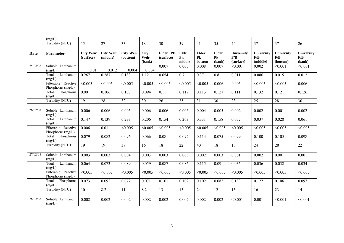|             | (mg/L)                                   |                               |                              |                              |                               |                       |                              |                                            |                                            |                                |                                       |                               |                                     |
|-------------|------------------------------------------|-------------------------------|------------------------------|------------------------------|-------------------------------|-----------------------|------------------------------|--------------------------------------------|--------------------------------------------|--------------------------------|---------------------------------------|-------------------------------|-------------------------------------|
|             | Turbidity (NTU)                          | 15                            | 27                           | 33                           | 18                            | 30                    | 39                           | 41                                         | 35                                         | 24                             | 37                                    | 37                            | 26                                  |
|             |                                          |                               |                              |                              |                               |                       |                              |                                            |                                            |                                |                                       |                               |                                     |
| <b>Date</b> | Parameter                                | <b>City Weir</b><br>(surface) | <b>City Weir</b><br>(middle) | <b>City Weir</b><br>(bottom) | <b>City</b><br>Weir<br>(bank) | Elder Pk<br>(surface) | <b>Elder</b><br>Pk<br>middle | <b>Elder</b><br>${\bf P}{\bf k}$<br>bottom | <b>Elder</b><br>${\bf P}{\bf k}$<br>(bank) | University<br>F/B<br>(surface) | University<br>${\bf F/B}$<br>(middle) | University<br>F/B<br>(bottom) | University<br>${\bf F/B}$<br>(bank) |
| 25/02/08    | Soluble Lanthanum<br>(mg/L)              | 0.01                          | 0.012                        | 0.004                        | 0.004                         | 0.007                 | 0.005                        | 0.008                                      | 0.007                                      | < 0.001                        | 0.002                                 | < 0.001                       | < 0.001                             |
|             | Lanthanum<br>Total<br>(mg/L)             | 0.267                         | 0.287                        | 0.133                        | 1.12                          | 0.654                 | 0.7                          | 0.37                                       | 0.8                                        | 0.011                          | 0.086                                 | 0.015                         | 0.012                               |
|             | Filterable Reactive<br>Phosphorus (mg/L) | < 0.005                       | < 0.005                      | < 0.005                      | < 0.005                       | < 0.005               | < 0.005                      | < 0.005                                    | 0.006                                      | 0.005                          | < 0.005                               | < 0.005                       | 0.006                               |
|             | Phosphorus<br>Total<br>(mg/L)            | 0.09                          | 0.106                        | 0.108                        | 0.094                         | 0.11                  | 0.117                        | 0.113                                      | 0.127                                      | 0.111                          | 0.132                                 | 0.121                         | 0.126                               |
|             | Turbidity (NTU)                          | 19                            | 28                           | 32                           | 30                            | 26                    | 35                           | 31                                         | 30                                         | 23                             | 25                                    | 28                            | 30                                  |
| 26/02/08    | Soluble Lanthanum<br>(mg/L)              | 0.006                         | 0.006                        | 0.005                        | 0.006                         | 0.006                 | 0.006                        | 0.004                                      | 0.005                                      | 0.002                          | 0.002                                 | 0.001                         | 0.002                               |
|             | Total<br>Lanthanum<br>(mg/L)             | 0.147                         | 0.139                        | 0.293                        | 0.206                         | 0.154                 | 0.263                        | 0.331                                      | 0.158                                      | 0.052                          | 0.037                                 | 0.028                         | 0.061                               |
|             | Filterable Reactive<br>Phosphorus (mg/L) | 0.006                         | 0.01                         | < 0.005                      | < 0.005                       | < 0.005               | < 0.005                      | < 0.005                                    | < 0.005                                    | < 0.005                        | < 0.005                               | < 0.005                       | < 0.005                             |
|             | Phosphorus<br>Total<br>(mg/L)            | 0.079                         | 0.082                        | 0.096                        | 0.066                         | 0.08                  | 0.092                        | 0.114                                      | 0.075                                      | 0.099                          | 0.100                                 | 0.105                         | 0.098                               |
|             | Turbidity (NTU)                          | $\overline{19}$               | 19                           | 39                           | 16                            | $\overline{18}$       | 22                           | 40                                         | $\overline{18}$                            | 16                             | 24                                    | 28                            | 22                                  |
| 27/02/08    | Soluble Lanthanum<br>(mg/L)              | 0.003                         | 0.003                        | 0.004                        | 0.003                         | 0.003                 | 0.003                        | 0.002                                      | 0.003                                      | 0.001                          | 0.002                                 | 0.001                         | 0.001                               |
|             | Lanthanum<br>Total<br>(mg/L)             | 0.064                         | 0.073                        | 0.089                        | 0.059                         | 0.087                 | 0.086                        | 0.115                                      | 0.09                                       | 0.036                          | 0.036                                 | 0.032                         | 0.034                               |
|             | Filterable Reactive<br>Phosphorus (mg/L) | < 0.005                       | < 0.005                      | < 0.005                      | < 0.005                       | < 0.005               | < 0.005                      | < 0.005                                    | < 0.005                                    | < 0.005                        | < 0.005                               | < 0.005                       | < 0.005                             |
|             | Phosphorus<br>Total<br>(mg/L)            | 0.073                         | 0.092                        | 0.072                        | 0.071                         | 0.101                 | 0.102                        | 0.102                                      | 0.082                                      | 0.133                          | 0.122                                 | 0.106                         | 0.097                               |
|             | Turbidity (NTU)                          | 10                            | 8.2                          | 11                           | 8.2                           | 13                    | 15                           | 24                                         | 12                                         | 15                             | 16                                    | 23                            | 14                                  |
| 28/02/08    | Soluble Lanthanum<br>(mg/L)              | 0.002                         | 0.002                        | 0.002                        | 0.002                         | 0.002                 | 0.002                        | 0.002                                      | 0.002                                      | < 0.001                        | 0.001                                 | < 0.001                       | < 0.001                             |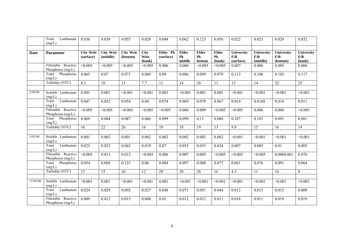|             | Total<br>Lanthanum<br>(mg/L)               | 0.036                         | 0.038                        | 0.055                        | 0.028                         | 0.048                 | 0.062                        | 0.123                        | 0.056                        | 0.022                          | 0.023                         | 0.024                         | 0.032                       |
|-------------|--------------------------------------------|-------------------------------|------------------------------|------------------------------|-------------------------------|-----------------------|------------------------------|------------------------------|------------------------------|--------------------------------|-------------------------------|-------------------------------|-----------------------------|
|             |                                            |                               |                              |                              |                               |                       |                              |                              |                              |                                |                               |                               |                             |
| <b>Date</b> | Parameter                                  | <b>City Weir</b><br>(surface) | <b>City Weir</b><br>(middle) | <b>City Weir</b><br>(bottom) | <b>City</b><br>Weir<br>(bank) | Elder Pk<br>(surface) | <b>Elder</b><br>Pk<br>middle | <b>Elder</b><br>Pk<br>bottom | <b>Elder</b><br>Pk<br>(bank) | University<br>F/B<br>(surface) | University<br>F/B<br>(middle) | University<br>F/B<br>(bottom) | University<br>F/B<br>(bank) |
|             | Filterable Reactive<br>Phosphorus (mg/L)   | < 0.005                       | < 0.005                      | < 0.005                      | < 0.005                       | 0.006                 | 0.006                        | < 0.005                      | < 0.005                      | 0.007                          | 0.006                         | 0.005                         | 0.006                       |
|             | Total Phosphorus<br>(mg/L)                 | 0.065                         | 0.07                         | 0.071                        | 0.069                         | 0.09                  | 0.086                        | 0.099                        | 0.079                        | 0.113                          | 0.106                         | 0.105                         | 0.117                       |
|             | Turbidity (NTU)                            | 8.1                           | 10                           | 15                           | 7.7                           | 11                    | 14                           | 26                           | 11                           | 13                             | 14                            | 22                            | 25                          |
| 2/03/08     | Soluble Lanthanum<br>(mg/L)                | 0.001                         | 0.001                        | < 0.001                      | < 0.001                       | 0.001                 | < 0.001                      | 0.001                        | 0.001                        | < 0.001                        | < 0.001                       | < 0.001                       | < 0.001                     |
|             | Total<br>Lanthanum<br>(mg/L)               | 0.047                         | 0.052                        | 0.054                        | 0.04                          | 0.074                 | 0.069                        | 0.078                        | 0.067                        | 0.014                          | 0.0168                        | 0.016                         | 0.011                       |
|             | Filterable Reactive<br>Phosphorus (mg/L)   | < 0.005                       | < 0.005                      | < 0.005                      | < 0.005                       | < 0.005               | 0.006                        | 0.009                        | < 0.005                      | < 0.005                        | 0.006                         | 0.006                         | < 0.005                     |
|             | Phosphorus<br>Total<br>(mg/L)              | 0.069                         | 0.084                        | 0.087                        | 0.066                         | 0.099                 | 0.099                        | 0.11                         | 0.088                        | 0.107                          | 0.103                         | 0.091                         | 0.081                       |
|             | Turbidity (NTU)                            | 16                            | 22                           | 26                           | 16                            | 19                    | 18                           | 19                           | 13                           | 9.8                            | 15                            | 16                            | 14                          |
|             |                                            |                               |                              |                              |                               |                       |                              |                              |                              |                                |                               |                               |                             |
| 5/03/08     | Soluble Lanthanum<br>(mg/L)                | 0.001                         | 0.002                        | 0.001                        | 0.002                         | 0.002                 | 0.002                        | 0.002                        | 0.002                        | < 0.001                        | < 0.001                       | < 0.001                       | < 0.001                     |
|             | Lanthanum<br>Total<br>(mg/L)               | 0.023                         | 0.023                        | 0.042                        | 0.019                         | 0.07                  | 0.055                        | 0.053                        | 0.034                        | 0.007                          | 0.005                         | 0.01                          | 0.005                       |
|             | Filterable Reactive<br>Phosphorus (mg/L)   | < 0.005                       | 0.013                        | 0.012                        | < 0.005                       | 0.006                 | 0.007                        | 0.005                        | < 0.005                      | < 0.005                        | < 0.005                       | 0.0060.061                    | 0.076                       |
|             | Total<br>Phosphorus<br>(mg/L)              | 0.054                         | 0.068                        | 0.123                        | 0.06                          | 0.084                 | 0.097                        | 0.088                        | 0.077                        | 0.061                          | 0.076                         | 0.091                         | 0.064                       |
|             | Turbidity (NTU)                            | $\overline{13}$               | 15                           | 26                           | 12                            | 29                    | 30                           | 28                           | 16                           | 4.3                            | 11                            | 16                            | $\,8\,$                     |
|             |                                            |                               |                              |                              |                               |                       |                              |                              |                              |                                |                               |                               |                             |
| 11/03/08    | Soluble Lanthanum<br>(mg/L)                | < 0.001                       | 0.001                        | < 0.001                      | < 0.001                       | 0.001                 | < 0.001                      | < 0.001                      | < 0.001                      | < 0.001                        | < 0.001                       | < 0.001                       | < 0.001                     |
|             | Lanthanum<br>Total<br>(mg/L)               | 0.024                         | 0.029                        | 0.092                        | 0.027                         | 0.048                 | 0.071                        | 0.091                        | 0.044                        | 0.012                          | 0.013                         | 0.012                         | 0.009                       |
|             | Filterable Reactive<br>Phosphorus $(mg/L)$ | 0.009                         | 0.012                        | 0.015                        | 0.008                         | 0.01                  | 0.012                        | 0.012                        | 0.011                        | 0.018                          | 0.011                         | 0.019                         | 0.019                       |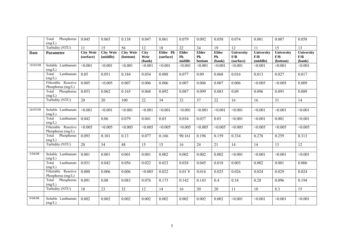|             | Total<br>Phosphorus                        | 0.045                         | 0.065                        | 0.138                        | 0.047               | 0.061                 | 0.079                          | 0.092                   | 0.058              | 0.074             | 0.081             | 0.087             | 0.058                    |
|-------------|--------------------------------------------|-------------------------------|------------------------------|------------------------------|---------------------|-----------------------|--------------------------------|-------------------------|--------------------|-------------------|-------------------|-------------------|--------------------------|
|             | (mg/L)<br>Turbidity (NTU)                  | $\overline{11}$               |                              | 56                           |                     | $\overline{18}$       |                                |                         | 19                 |                   | $\overline{11}$   | $\overline{15}$   | $\overline{13}$          |
|             |                                            |                               | $\overline{15}$              |                              | $\overline{12}$     |                       | 22                             | $\overline{34}$         |                    | 12                |                   |                   |                          |
| <b>Date</b> | <b>Parameter</b>                           | <b>City Weir</b><br>(surface) | <b>City Weir</b><br>(middle) | <b>City Weir</b><br>(bottom) | <b>City</b><br>Weir | Elder Pk<br>(surface) | <b>Elder</b><br>P <sub>k</sub> | Elder<br>P <sub>k</sub> | <b>Elder</b><br>Pk | University<br>F/B | University<br>F/B | University<br>F/B | <b>University</b><br>F/B |
|             |                                            |                               |                              |                              | (bank)              |                       | middle                         | bottom                  | (bank)             | (surface)         | (middle)          | (bottom)          | (bank)                   |
| 18/03/08    | Soluble Lanthanum                          | < 0.001                       | < 0.001                      | < 0.001                      | < 0.001             | < 0.001               | < 0.001                        | < 0.001                 | < 0.001            | < 0.001           | < 0.001           | < 0.001           | < 0.001                  |
|             | (mg/L)                                     |                               |                              |                              |                     |                       |                                |                         |                    |                   |                   |                   |                          |
|             | Total<br>Lanthanum                         | 0.05                          | 0.051                        | 0.184                        | 0.054               | 0.088                 | 0.077                          | 0.09                    | 0.068              | 0.016             | 0.013             | 0.027             | 0.017                    |
|             | (mg/L)                                     |                               |                              |                              |                     |                       |                                |                         |                    |                   |                   |                   |                          |
|             | Filterable Reactive<br>Phosphorus (mg/L)   | 0.005                         | < 0.005                      | 0.007                        | 0.006               | 0.006                 | 0.007                          | 0.006                   | 0.007              | 0.006             | < 0.005           | < 0.005           | 0.009                    |
|             | Phosphorus<br>Total<br>(mg/L)              | 0.053                         | 0.062                        | 0.165                        | 0.068               | 0.092                 | 0.087                          | 0.099                   | 0.083              | 0.09              | 0.096             | 0.093             | 0.089                    |
|             | Turbidity (NTU)                            | $\overline{20}$               | 20                           | 100                          | 22                  | $\overline{34}$       | $\overline{32}$                | 37                      | 22                 | 16                | 16                | 31                | 14                       |
|             |                                            |                               |                              |                              |                     |                       |                                |                         |                    |                   |                   |                   |                          |
| 26/03/08    | Soluble Lanthanum<br>(mg/L)                | < 0.001                       | < 0.001                      | < 0.001                      | < 0.001             | < 0.001               | < 0.001                        | < 0.001                 | < 0.001            | < 0.001           | < 0.001           | < 0.001           | < 0.001                  |
|             | Lanthanum<br>Total<br>(mg/L)               | 0.042                         | 0.06                         | 0.079                        | 0.041               | 0.03                  | 0.034                          | 0.037                   | 0.03               | < 0.001           | < 0.001           | 0.001             | < 0.001                  |
|             | Filterable Reactive<br>Phosphorus $(mg/L)$ | < 0.005                       | < 0.005                      | < 0.005                      | < 0.005             | < 0.005               | < 0.005                        | < 0.005                 | < 0.005            | < 0.005           | < 0.005           | < 0.005           | < 0.005                  |
|             | Total Phosphorus<br>(mg/L)                 | 0.093                         | 0.101                        | 0.13                         | 0.077               | 0.166                 | 90.161                         | 0.196                   | 0.159              | 0.334             | 0.278             | 0.259             | 0.313                    |
|             | Turbidity (NTU)                            | $\overline{20}$               | $\overline{34}$              | $\overline{48}$              | 15                  | 15                    | 16                             | 24                      | 21                 | 14                | 14                | 13                | $\overline{12}$          |
|             |                                            |                               |                              |                              |                     |                       |                                |                         |                    |                   |                   |                   |                          |
| 3/04/08     | Soluble Lanthanum<br>(mg/L)                | 0.001                         | 0.001                        | 0.001                        | 0.001               | 0.002                 | 0.002                          | 0.002                   | 0.002              | < 0.001           | < 0.001           | < 0.001           | < 0.001                  |
|             | Lanthanum<br>Total<br>(mg/L)               | 0.031                         | 0.042                        | 0.056                        | 0.022               | 0.023                 | 0.028                          | 0.045                   | 0.018              | 0.003             | 0.002             | 0.001             | 0.006                    |
|             | Filterable Reactive<br>Phosphorus (mg/L)   | 0.008                         | 0.006                        | 0.006                        | < 0.005             | 0.022                 | $0.01$ `8                      | 0.016                   | 0.025              | 0.026             | 0.024             | 0.029             | 0.024                    |
|             | Phosphorus<br>Total<br>(mg/L)              | 0.091                         | 0.08                         | 0.083                        | 0.076               | 0.173                 | 0.142                          | 0.143                   | 0.4                | 0.34              | 0.28              | 0.096             | 0.194                    |
|             | Turbidity (NTU)                            | 18                            | 23                           | 32                           | 12                  | 14                    | 16                             | 30                      | 20                 | 11                | 10                | 8.3               | 15                       |
|             |                                            |                               |                              |                              |                     |                       |                                |                         |                    |                   |                   |                   |                          |
| 9/04/08     | Soluble Lanthanum<br>(mg/L)                | 0.002                         | 0.002                        | 0.002                        | 0.002               | 0.002                 | 0.002                          | 0.002                   | 0.002              | < 0.001           | < 0.001           | < 0.001           | < 0.001                  |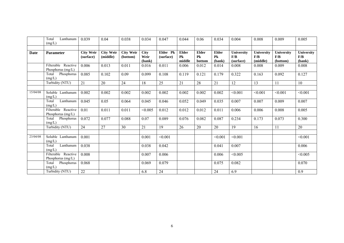|          | Total<br>Lanthanum<br>(mg/L)               | 0.039                         | 0.04                         | 0.038                        | 0.034                         | 0.047                 | 0.044                        | 0.06                         | 0.034                        | 0.004                          | 0.008                         | 0.009                                | 0.005                              |
|----------|--------------------------------------------|-------------------------------|------------------------------|------------------------------|-------------------------------|-----------------------|------------------------------|------------------------------|------------------------------|--------------------------------|-------------------------------|--------------------------------------|------------------------------------|
| Date     | <b>Parameter</b>                           | <b>City Weir</b><br>(surface) | <b>City Weir</b><br>(middle) | <b>City Weir</b><br>(bottom) | <b>City</b><br>Weir<br>(bank) | Elder Pk<br>(surface) | <b>Elder</b><br>Pk<br>middle | <b>Elder</b><br>Pk<br>bottom | <b>Elder</b><br>Pk<br>(bank) | University<br>F/B<br>(surface) | University<br>F/B<br>(middle) | <b>University</b><br>F/B<br>(bottom) | <b>University</b><br>F/B<br>(bank) |
|          | Filterable Reactive<br>Phosphorus (mg/L)   | 0.006                         | 0.013                        | 0.011                        | 0.016                         | 0.011                 | 0.006                        | 0.012                        | 0.014                        | 0.008                          | 0.008                         | 0.009                                | 0.008                              |
|          | Total Phosphorus<br>(mg/L)                 | 0.085                         | 0.102                        | 0.09                         | 0.099                         | 0.108                 | 0.119                        | 0.121                        | 0.179                        | 0.322                          | 0.163                         | 0.092                                | 0.127                              |
|          | Turbidity (NTU)                            | 21                            | 20                           | 24                           | 18                            | 25                    | 21                           | 28                           | 21                           | 12                             | 13                            | 11                                   | 10                                 |
| 15/04/08 | Soluble Lanthanum<br>(mg/L)                | 0.002                         | 0.002                        | 0.002                        | 0.002                         | 0.002                 | 0.002                        | 0.002                        | 0.002                        | < 0.001                        | < 0.001                       | < 0.001                              | < 0.001                            |
|          | Lanthanum<br>Total<br>(mg/L)               | 0.045                         | 0.05                         | 0.064                        | 0.045                         | 0.046                 | 0.052                        | 0.049                        | 0.035                        | 0.007                          | 0.007                         | 0.009                                | 0.007                              |
|          | Filterable Reactive<br>Phosphorus $(mg/L)$ | 0.01                          | 0.011                        | 0.011                        | < 0.005                       | 0.012                 | 0.012                        | 0.012                        | 0.011                        | 0.006                          | 0.006                         | 0.008                                | 0.005                              |
|          | Phosphorus<br>Total<br>(mg/L)              | 0.072                         | 0.077                        | 0.088                        | 0.07                          | 0.089                 | 0.076                        | 0.082                        | 0.087                        | 0.234                          | 0.173                         | 0.073                                | 0.300                              |
|          | Turbidity (NTU)                            | 24                            | 27                           | 30                           | 21                            | 19                    | 26                           | 20                           | 20                           | 19                             | 16                            | 11                                   | $20\,$                             |
| 23/04/08 | Soluble Lanthanum<br>(mg/L)                | 0.001                         |                              |                              | 0.001                         | < 0.001               |                              |                              | < 0.001                      | < 0.001                        |                               |                                      | < 0.001                            |
|          | Total<br>Lanthanum<br>(mg/L)               | 0.038                         |                              |                              | 0.038                         | 0.042                 |                              |                              | 0.041                        | 0.007                          |                               |                                      | 0.006                              |
|          | Filterable Reactive<br>Phosphorus (mg/L)   | 0.008                         |                              |                              | 0.007                         | 0.006                 |                              |                              | 0.006                        | < 0.005                        |                               |                                      | < 0.005                            |
|          | Total<br>Phosphorus<br>(mg/L)              | 0.068                         |                              |                              | 0.069                         | 0.079                 |                              |                              | 0.075                        | 0.082                          |                               |                                      | 0.070                              |
|          | Turbidity (NTU)                            | 22                            |                              |                              | 6.8                           | 24                    |                              |                              | 24                           | 6.9                            |                               |                                      | 0.9                                |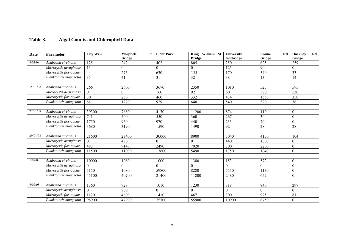# **Table 3. Algal Counts and Chlorophyll Data**

| <b>Date</b> | Parameter              | <b>City Weir</b> | Morphett<br><b>St</b><br><b>Bridge</b> | <b>Elder Park</b> | King William St<br><b>Bridge</b> | University<br>footbridge | Frome<br>Rd<br><b>Bridge</b> | <b>Hackney</b><br>Rd<br><b>Bridge</b> |
|-------------|------------------------|------------------|----------------------------------------|-------------------|----------------------------------|--------------------------|------------------------------|---------------------------------------|
| 8/01/08     | Anabaena circinalis    | 125              | 242                                    | 402               | 805                              | 250                      | 625                          | 259                                   |
|             | Microcystis aeruginosa | 13               | $\theta$                               | $\mathbf{0}$      | $\boldsymbol{0}$                 | 125                      | 90                           | $\mathbf{0}$                          |
|             | Microcystis flos-aquae | 44               | 275                                    | 630               | 155                              | 170                      | 540                          | 33                                    |
|             | Planktothrix mougeotia | $\overline{35}$  | 41                                     | $\overline{31}$   | 32                               | $\overline{38}$          | 13                           | 14                                    |
|             |                        |                  |                                        |                   |                                  |                          |                              |                                       |
| 15/01/08    | Anabaena circinalis    | 266              | 2600                                   | 3670              | 2350                             | 1010                     | 525                          | 595                                   |
|             | Microcystis aeruginosa | $\overline{0}$   | $\theta$                               | 160               | 92                               | 60                       | 580                          | 530                                   |
|             | Microcystis flos-aquae | 80               | 236                                    | 460               | 332                              | 434                      | 1350                         | 350                                   |
|             | Planktothrix mougeotia | 81               | 1270                                   | 929               | 640                              | 540                      | 320                          | 36                                    |
|             |                        |                  |                                        |                   |                                  |                          |                              |                                       |
| 22/01/08    | Anabaena circinalis    | 39300            | 7680                                   | 4170              | 11200                            | 874                      | 110                          | $\boldsymbol{0}$                      |
|             | Microcystis aeruginosa | 741              | 400                                    | 550               | 360                              | 267                      | 30                           | $\theta$                              |
|             | Microcystis flos-aquae | 1750             | 960                                    | 970               | 440                              | 233                      | $\overline{70}$              | $\mathbf{0}$                          |
|             | Planktothrix mougeotia | 3680             | 3190                                   | 1590              | 1490                             | 92                       | 28                           | 28                                    |
|             |                        |                  |                                        |                   |                                  |                          |                              |                                       |
| 29/01/08    | Anabaena circinalis    | 21600            | 23400                                  | 30000             | 8900                             | 5040                     | 4150                         | 104                                   |
|             | Microcystis aeruginosa | $\Omega$         | 480                                    | $\theta$          | $\Omega$                         | 440                      | 1600                         | $\mathbf{0}$                          |
|             | Microcystis flos-aquae | 482              | 9140                                   | 2490              | 7920                             | 700                      | 2200                         | $\mathbf{0}$                          |
|             | Planktothrix mougeotia | 11500            | 11000                                  | 13600             | 5490                             | 1750                     | 1040                         | $\boldsymbol{0}$                      |
|             |                        |                  |                                        |                   |                                  |                          |                              |                                       |
| 1/02/08     | Anabaena circinalis    | 10000            | 1080                                   | 1000              | 1380                             | 153                      | 572                          | $\boldsymbol{0}$                      |
|             | Microcystis aeruginosa | $\Omega$         | $\theta$                               | $\mathbf{0}$      | $\Omega$                         | $\Omega$                 | $\Omega$                     | $\mathbf{0}$                          |
|             | Microcystis flos-aquae | 5150             | 1080                                   | 59800             | 8280                             | 5550                     | 1130                         | $\boldsymbol{0}$                      |
|             | Planktothrix mougeotia | 45100            | 40700                                  | 21400             | 11800                            | 2480                     | 652                          | $\mathbf{0}$                          |
|             |                        |                  |                                        |                   |                                  |                          |                              |                                       |
| 5/02/08     | Anabaena circinalis    | 1360             | 928                                    | 1010              | 1230                             | 318                      | 840                          | 297                                   |
|             | Microcystis aeruginosa | $\Omega$         | 800                                    | $\theta$          | $\Omega$                         | $\mathbf{0}$             | $\Omega$                     | $\mathbf{0}$                          |
|             | Microcystis flos-aquae | 1120             | 4600                                   | 1410              | 467                              | 700                      | 925                          | 81                                    |
|             | Planktothrix mougeotia | 98900            | 47900                                  | 75700             | 55900                            | 10900                    | 6750                         | $\boldsymbol{0}$                      |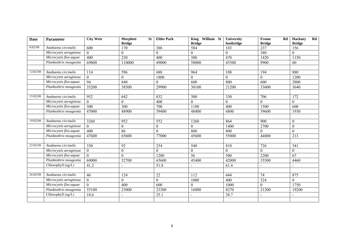| <b>Date</b> | Parameter              | <b>City Weir</b> | Morphett<br><b>St</b> | <b>Elder Park</b> | King William St | University       | Frome<br>Rd              | Hackney<br>$_{\rm Rd}$ |
|-------------|------------------------|------------------|-----------------------|-------------------|-----------------|------------------|--------------------------|------------------------|
|             |                        |                  | <b>Bridge</b>         |                   | <b>Bridge</b>   | footbridge       | <b>Bridge</b>            | <b>Bridge</b>          |
| 8/02/08     | Anabaena circinalis    | 600              | 170                   | 388               | 584             | 103              | 237                      | 156                    |
|             | Microcystis aeruginosa | $\theta$         | $\Omega$              | $\overline{0}$    | $\overline{0}$  | $\boldsymbol{0}$ | 380                      | $\theta$               |
|             | Microcystis flos-aquae | 400              | 230                   | 400               | 300             | 470              | 1420                     | 1150                   |
|             | Planktothrix mougeotia | 69800            | 110000                | 49000             | 58000           | 45300            | 9900                     | 60                     |
|             |                        |                  |                       |                   |                 |                  |                          |                        |
| 12/02/08    | Anabaena circinalis    | 114              | 596                   | 688               | 964             | 108              | 194                      | 880                    |
|             | Microcystis aeruginosa | $\theta$         | $\theta$              | 1800              | $\theta$        | $\boldsymbol{0}$ | $\Omega$                 | 1200                   |
|             | Microcystis flos-aquae | 94               | 840                   | $\mathbf{0}$      | 600             | 800              | 600                      | 2800                   |
|             | Planktothrix mougeotia | 35200            | 38500                 | 29900             | 30100           | 21200            | 33600                    | 3640                   |
|             |                        |                  |                       |                   |                 |                  |                          |                        |
| 15/02/08    | Anabaena circinalis    | 952              | 642                   | 832               | 300             | 330              | 706                      | 172                    |
|             | Microcystis aeruginosa | $\theta$         | $\Omega$              | 400               | $\Omega$        | $\Omega$         | 0                        | $\Omega$               |
|             | Microcystis flos-aquae | 300              | 300                   | 700               | 1100            | 400              | 1500                     | 600                    |
|             | Planktothrix mougeotia | 47000            | 48900                 | 59400             | 48400           | 4800             | 39600                    | 1930                   |
|             |                        |                  |                       |                   |                 |                  |                          |                        |
| 19/02/08    | Anabaena circinalis    | 3260             | 952                   | 552               | 1260            | 864              | 900                      | $\boldsymbol{0}$       |
|             | Microcystis aeruginosa | $\theta$         | $\theta$              | $\boldsymbol{0}$  | $\theta$        | 1400             | 2700                     | $\boldsymbol{0}$       |
|             | Microcystis flos-aquae | 400              | 86                    | $\theta$          | 800             | 800              | $\Omega$                 | $\Omega$               |
|             | Planktothrix mougeotia | 47600            | 65600                 | 77000             | 45600           | 55000            | 44800                    | 213                    |
|             |                        |                  |                       |                   |                 |                  |                          |                        |
| 22/02/08    | Anabaena circinalis    | 330              | 92                    | 254               | 540             | 810              | 726                      | 341                    |
|             | Microcystis aeruginosa | $\theta$         | $\mathbf{0}$          | $\mathbf{0}$      | $\overline{0}$  | $\overline{0}$   | $\Omega$                 | $\overline{0}$         |
|             | Microcystis flos-aquae | $\Omega$         | $\mathbf{0}$          | 1200              | $\overline{56}$ | $\overline{500}$ | 2200                     | 67                     |
|             | Planktothrix mougeotia | 69000            | 52700                 | 65600             | 45400           | 42000            | 35500                    | 4460                   |
|             | Chlorophyll (ug/L)     | 41.2             | $\blacksquare$        | $\overline{51.8}$ | Ξ.              | 61.4             | $\overline{\phantom{a}}$ |                        |
|             |                        |                  |                       |                   |                 |                  |                          |                        |
| 26/02/08    | Anabaena circinalis    | 46               | 124                   | 22                | 112             | 444              | 74                       | 875                    |
|             | Microcystis aeruginosa | $\Omega$         | $\Omega$              | $\mathbf{0}$      | 1000            | 400              | 324                      | $\Omega$               |
|             | Microcystis flos-aquae | $\overline{0}$   | 400                   | 600               | $\overline{0}$  | 1000             | $\theta$                 | 1750                   |
|             | Planktothrix mougeotia | 55100            | 23000                 | 23300             | 16800           | 8270             | 21200                    | 19200                  |
|             | Chlorophyll (ug/L)     | 18.6             |                       | 25.1              |                 | 38.7             |                          |                        |
|             |                        |                  |                       |                   |                 |                  |                          |                        |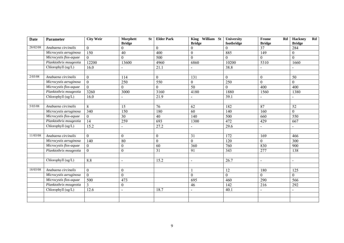| <b>Date</b> | <b>Parameter</b>       | <b>City Weir</b> | Morphett<br><b>St</b>     | <b>Elder Park</b> | King William St                 | University             | Frome<br>Rd         | <b>Hackney</b><br>$_{\rm Rd}$ |
|-------------|------------------------|------------------|---------------------------|-------------------|---------------------------------|------------------------|---------------------|-------------------------------|
| 28/02/08    | Anabaena circinalis    | $\theta$         | <b>Bridge</b><br>$\theta$ | $\theta$          | <b>Bridge</b><br>$\overline{0}$ | footbridge<br>$\theta$ | <b>Bridge</b><br>37 | <b>Bridge</b><br>284          |
|             | Microcystis aeruginosa | 150              | $\overline{40}$           | 400               | $\boldsymbol{0}$                | 885                    | 149                 | $\overline{0}$                |
|             | Microcystis flos-aquae | $\theta$         | $\Omega$                  | 500               | $\theta$                        | $\theta$               | 0                   | $\Omega$                      |
|             | Planktothrix mougeotia | 12200            | 13600                     | 4960              | 6860                            | 10200                  | 5310                | 1660                          |
|             | Chlorophyll (ug/L)     |                  |                           |                   |                                 |                        |                     |                               |
|             |                        | 16.0             | $\blacksquare$            | 21.1              |                                 | 38.8                   |                     |                               |
|             |                        |                  |                           |                   |                                 |                        |                     |                               |
| 2/03/08     | Anabaena circinalis    | $\overline{0}$   | 114                       | $\boldsymbol{0}$  | 131                             | $\mathbf{0}$           | $\mathbf{0}$        | 50                            |
|             | Microcystis aeruginosa | $\theta$         | 250                       | 550               | $\boldsymbol{0}$                | 250                    | $\Omega$            | $\Omega$                      |
|             | Microcystis flos-aquae | $\theta$         | $\theta$                  | $\boldsymbol{0}$  | 50                              | $\boldsymbol{0}$       | 400                 | 400                           |
|             | Planktothrix mougeotia | 3260             | 3000                      | 3160              | 4180                            | 1880                   | 1560                | 1380                          |
|             | Chlorophyll (ug/L)     | 16.0             |                           | 21.9              |                                 | 39.1                   |                     |                               |
|             |                        |                  |                           |                   |                                 |                        |                     |                               |
| 5/03/08     | Anabaena circinalis    | 8                | 15                        | 76                | 62                              | 182                    | 87                  | 52                            |
|             | Microcystis aeruginosa | $\overline{340}$ | 150                       | 180               | 60                              | 140                    | 160                 | $\overline{0}$                |
|             | Microcystis flos-aquae | $\theta$         | $\overline{30}$           | $\overline{40}$   | 140                             | 500                    | 660                 | 550                           |
|             | Planktothrix mougeotia | 14               | 259                       | 693               | 1300                            | 472                    | 429                 | 667                           |
|             | Chlorophyll (ug/L)     | 15.2             | $\overline{a}$            | 27.2              |                                 | 29.6                   | $\overline{a}$      | $\sim$                        |
|             |                        |                  |                           |                   |                                 |                        |                     |                               |
| 11/03/08    | Anabaena circinalis    | $\overline{0}$   | $\boldsymbol{0}$          | $\boldsymbol{0}$  | 31                              | 172                    | 169                 | 466                           |
|             | Microcystis aeruginosa | 140              | 80                        | $\mathbf{0}$      | $\boldsymbol{0}$                | 120                    | $\theta$            | 300                           |
|             | Microcystis flos-aquae | $\theta$         | $\boldsymbol{0}$          | 60                | 360                             | 760                    | 830                 | 900                           |
|             | Planktothrix mougeotia | $\Omega$         | $\boldsymbol{0}$          | 31                | 91                              | 343                    | 277                 | 138                           |
|             |                        |                  |                           |                   |                                 |                        |                     |                               |
|             | Chlorophyll (ug/L)     | 8.8              | $\blacksquare$            | 15.2              | $\overline{\phantom{0}}$        | 26.7                   | $\overline{a}$      | $\blacksquare$                |
|             |                        |                  |                           |                   |                                 |                        |                     |                               |
| 18/03/08    | Anabaena circinalis    | $\overline{0}$   | $\boldsymbol{0}$          |                   |                                 | 12                     | 180                 | 125                           |
|             | Microcystis aeruginosa | $\overline{0}$   | $\Omega$                  |                   | $\overline{0}$                  | $\overline{0}$         | $\Omega$            | $\Omega$                      |
|             | Microcystis flos-aquae | 500              | 473                       |                   | 695                             | 460                    | 290                 | 566                           |
|             | Planktothrix mougeotia | 3                | $\boldsymbol{0}$          |                   | 46                              | 142                    | 216                 | 292                           |
|             | Chlorophyll (ug/L)     | 12.6             | $\blacksquare$            | 18.7              | $\overline{\phantom{0}}$        | 40.1                   | $\blacksquare$      | $\sim$                        |
|             |                        |                  |                           |                   |                                 |                        |                     |                               |
|             |                        |                  |                           |                   |                                 |                        |                     |                               |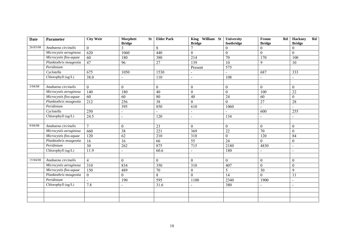| <b>Date</b> | <b>Parameter</b>       | <b>City Weir</b> | Morphett<br><b>St</b><br><b>Bridge</b> | <b>Elder Park</b> | King William St<br><b>Bridge</b> | University<br>footbridge | Frome<br>$_{\rm Rd}$<br><b>Bridge</b> | <b>Hackney</b><br>$\mathbf{R}\mathbf{d}$<br><b>Bridge</b> |
|-------------|------------------------|------------------|----------------------------------------|-------------------|----------------------------------|--------------------------|---------------------------------------|-----------------------------------------------------------|
| 26/03/08    | Anabaena circinalis    | $\theta$         | 3                                      | 8                 |                                  | $\theta$                 | $\theta$                              | $\mathbf{0}$                                              |
|             | Microcystis aeruginosa | 620              | 1060                                   | 440               | $\boldsymbol{0}$                 | $\boldsymbol{0}$         | $\overline{0}$                        | $\boldsymbol{0}$                                          |
|             | Microcystis flos-aquae | 60               | 180                                    | 380               | 214                              | 70                       | 170                                   | 100                                                       |
|             | Planktothrix mougeotia | 47               | 96                                     | 27                | 139                              | 10                       | 9                                     | 10                                                        |
|             | Peridinium             |                  |                                        |                   | Present                          | 575                      |                                       |                                                           |
|             | Cyclotella             | 675              | 1050                                   | 1530              | $\overline{\phantom{0}}$         |                          | 687                                   | 333                                                       |
|             | Chlorophyll (ug/L)     | 38.0             | $\blacksquare$                         | $\overline{110}$  | $\sim$                           | 108                      | $\blacksquare$                        | $\sim$                                                    |
|             |                        |                  |                                        |                   |                                  |                          |                                       |                                                           |
| 3/04/08     | Anabaena circinalis    | $\overline{0}$   | $\Omega$                               | $\boldsymbol{0}$  | $\boldsymbol{0}$                 | $\boldsymbol{0}$         | $\mathbf{0}$                          | $\overline{0}$                                            |
|             | Microcystis aeruginosa | 140              | 180                                    | 40                | $\mathbf{0}$                     | $\mathbf{0}$             | 100                                   | $\overline{22}$                                           |
|             | Microcystis flos-aquae | 60               | 60                                     | 80                | 40                               | $\overline{24}$          | 60                                    | $\boldsymbol{0}$                                          |
|             | Planktothrix mougeotia | 212              | 256                                    | $\overline{38}$   | $\overline{0}$                   | $\Omega$                 | 27                                    | 28                                                        |
|             | Peridinium             |                  | 395                                    | 850               | 610                              | 1060                     |                                       |                                                           |
|             | Cyclotella             | 250              | $\blacksquare$                         |                   | $\blacksquare$                   |                          | 600                                   | 255                                                       |
|             | Chlorophyll (ug/L)     | 24.5             | $\blacksquare$                         | 120               | $\blacksquare$                   | 134                      |                                       | $\blacksquare$                                            |
|             |                        |                  |                                        |                   |                                  |                          |                                       |                                                           |
| 9/04/08     | Anabaena circinalis    | $\tau$           | $\mathbf{0}$                           | 23                | $\overline{0}$                   | $\mathbf{0}$             | $\theta$                              | $\theta$                                                  |
|             | Microcystis aeruginosa | 660              | 38                                     | 221               | 369                              | $\overline{22}$          | 70                                    | $\overline{0}$                                            |
|             | Microcystis flos-aquae | 120              | 62                                     | 210               | 318                              | $\boldsymbol{0}$         | 120                                   | 84                                                        |
|             | Planktothrix mougeotia | 16               | 16                                     | 66                | $\overline{55}$                  | $\overline{24}$          | $\theta$                              | $\boldsymbol{0}$                                          |
|             | Peridinium             | 30               | 262                                    | 875               | $\overline{715}$                 | 2180                     | 4830                                  | $\sim$                                                    |
|             | Chlorophyll (ug/L)     | 11.9             | $\overline{a}$                         | 60.6              | $\overline{a}$                   | 180                      |                                       | $\blacksquare$                                            |
|             |                        |                  |                                        |                   |                                  |                          |                                       |                                                           |
| 15/04/08    | Anabaena circinalis    | $\overline{4}$   | $\mathbf{0}$                           | $\mathbf{0}$      | $\boldsymbol{0}$                 | $\mathbf{0}$             | $\boldsymbol{0}$                      | $\boldsymbol{0}$                                          |
|             | Microcystis aeruginosa | 310              | 834                                    | 350               | 310                              | 407                      | $\overline{0}$                        | $\boldsymbol{0}$                                          |
|             | Microcystis flos-aquae | $\overline{150}$ | 489                                    | $\overline{70}$   | $\boldsymbol{0}$                 | 5                        | $\overline{30}$                       | 9                                                         |
|             | Planktothrix mougeotia | $\theta$         | $\theta$                               | 8                 | $\overline{0}$                   | 14                       | $\Omega$                              | 11                                                        |
|             | Peridinium             |                  | 190                                    | 595               | 1100                             | 2340                     | 1900                                  | $\blacksquare$                                            |
|             | Chlorophyll (ug/L)     | 7.8              | $\blacksquare$                         | 31.6              | $\blacksquare$                   | 380                      |                                       | $\sim$                                                    |
|             |                        |                  |                                        |                   |                                  |                          |                                       |                                                           |
|             |                        |                  |                                        |                   |                                  |                          |                                       |                                                           |
|             |                        |                  |                                        |                   |                                  |                          |                                       |                                                           |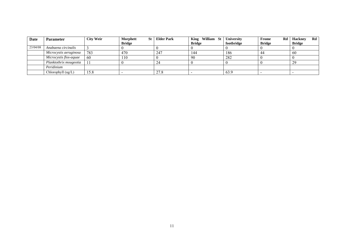| Date     | <b>Parameter</b>       | <b>City Weir</b> | Morphett<br>St | <b>Elder Park</b> | -St<br>William<br><b>King</b> | University | Rd<br><b>Frome</b> | Rd<br><b>Hackney</b> |
|----------|------------------------|------------------|----------------|-------------------|-------------------------------|------------|--------------------|----------------------|
|          |                        |                  | <b>Bridge</b>  |                   | <b>Bridge</b>                 | footbridge | <b>Bridge</b>      | <b>Bridge</b>        |
| 23/04/08 | Anabaena circinalis    |                  |                |                   |                               |            |                    |                      |
|          | Microcystis aeruginosa | 783              | 470            | 247               | 144                           | 186        | 44                 | 60                   |
|          | Microcystis flos-aquae | 60               | 110            |                   | 90                            | 282        |                    |                      |
|          | Planktothrix mougeotia |                  |                | 24                |                               |            |                    | 29                   |
|          | Peridinium             |                  |                |                   |                               |            |                    |                      |
|          | Chlorophyll (ug/L)     | 15.8             |                | 27.8              |                               | 63.9       |                    |                      |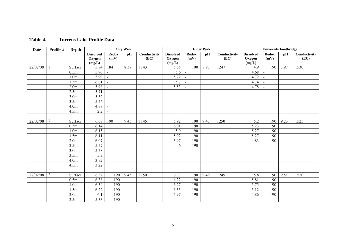| <b>Date</b> | Profile # | Depth            |                                      |                      | <b>City Weir</b> |                      |                                      |                      | <b>Elder Park</b> |                      |                                      | <b>University Footbridge</b> |      |                      |
|-------------|-----------|------------------|--------------------------------------|----------------------|------------------|----------------------|--------------------------------------|----------------------|-------------------|----------------------|--------------------------------------|------------------------------|------|----------------------|
|             |           |                  | <b>Dissolved</b><br>Oxygen<br>(mg/L) | <b>Redox</b><br>(mV) | pH               | Conductivity<br>(EC) | <b>Dissolved</b><br>Oxygen<br>(mg/L) | <b>Redox</b><br>(mV) | pH                | Conductivity<br>(EC) | <b>Dissolved</b><br>Oxygen<br>(mg/L) | <b>Redox</b><br>(mV)         | pH   | Conductivity<br>(EC) |
| 22/02/08    |           | Surface          | 5.84                                 | 184                  | 8.37             | 1143                 | 5.65                                 | 190                  | 8.93              | 1247                 | 4.9                                  | 190                          | 8.97 | 1530                 |
|             |           | 0.5m             | 5.96                                 | $\blacksquare$       |                  |                      | 5.6                                  | $\blacksquare$       |                   |                      | 4.68                                 | $\blacksquare$               |      |                      |
|             |           | 1.0 <sub>m</sub> | 5.99                                 | $\blacksquare$       |                  |                      | 5.72                                 | $\blacksquare$       |                   |                      | 4.72                                 | $\sim$                       |      |                      |
|             |           | 1.5m             | 6.01                                 | $\blacksquare$       |                  |                      | $\overline{5.7}$                     | $\blacksquare$       |                   |                      | 4.74                                 | $\sim$                       |      |                      |
|             |           | 2.0 <sub>m</sub> | 5.98                                 | $\blacksquare$       |                  |                      | 5.53                                 | $\blacksquare$       |                   |                      | 4.78                                 | $\blacksquare$               |      |                      |
|             |           | 2.5m             | 5.71                                 | $\Box$               |                  |                      |                                      |                      |                   |                      |                                      |                              |      |                      |
|             |           | 3.0 <sub>m</sub> | 5.52                                 | $\blacksquare$       |                  |                      |                                      |                      |                   |                      |                                      |                              |      |                      |
|             |           | 3.5m             | 5.46                                 | $\blacksquare$       |                  |                      |                                      |                      |                   |                      |                                      |                              |      |                      |
|             |           | 4.0 <sub>m</sub> | 4.99                                 | $\blacksquare$       |                  |                      |                                      |                      |                   |                      |                                      |                              |      |                      |
|             |           | 4.5m             | 2.2                                  | $\sim$               |                  |                      |                                      |                      |                   |                      |                                      |                              |      |                      |
|             |           |                  |                                      |                      |                  |                      |                                      |                      |                   |                      |                                      |                              |      |                      |
| 22/02/08    | 2         | Surface          | 6.07                                 | 190                  | 9.45             | 1145                 | 5.92                                 | 190                  | 9.43              | 1250                 | 5.2                                  | 190                          | 9.23 | 1525                 |
|             |           | 0.5m             | 6.14                                 |                      |                  |                      | 6.01                                 | 190                  |                   |                      | 5.23                                 | 190                          |      |                      |
|             |           | 1.0 <sub>m</sub> | 6.15                                 |                      |                  |                      | 5.9                                  | 190                  |                   |                      | 5.27                                 | 190                          |      |                      |
|             |           | 1.5m             | 6.11                                 |                      |                  |                      | 5.92                                 | 190                  |                   |                      | 5.27                                 | 190                          |      |                      |
|             |           | 2.0 <sub>m</sub> | 6.07                                 |                      |                  |                      | 5.97                                 | 190                  |                   |                      | 4.83                                 | 190                          |      |                      |
|             |           | 2.5m             | 5.57                                 |                      |                  |                      | 6                                    | 190                  |                   |                      |                                      |                              |      |                      |
|             |           | 3.0 <sub>m</sub> | 5.58                                 |                      |                  |                      |                                      |                      |                   |                      |                                      |                              |      |                      |
|             |           | 3.5m             | 5.3                                  |                      |                  |                      |                                      |                      |                   |                      |                                      |                              |      |                      |
|             |           | 4.0 <sub>m</sub> | 3.92                                 |                      |                  |                      |                                      |                      |                   |                      |                                      |                              |      |                      |
|             |           | 4.5m             | 3.22                                 |                      |                  |                      |                                      |                      |                   |                      |                                      |                              |      |                      |
|             |           |                  |                                      |                      |                  |                      |                                      |                      |                   |                      |                                      |                              |      |                      |
| 22/02/08    | 3         | Surface          | 6.32                                 | 190                  | 9.45             | 1150                 | 6.33                                 | 190                  | 9.49              | 1245                 | 5.8                                  | 190                          | 9.51 | 1520                 |
|             |           | 0.5m             | 6.38                                 | 190                  |                  |                      | 6.22                                 | 190                  |                   |                      | 5.81                                 | 90                           |      |                      |
|             |           | 1.0 <sub>m</sub> | 6.34                                 | 190                  |                  |                      | 6.27                                 | 190                  |                   |                      | 5.75                                 | 190                          |      |                      |
|             |           | 1.5m             | 6.22                                 | 190                  |                  |                      | 6.35                                 | 190                  |                   |                      | 5.12                                 | 190                          |      |                      |
|             |           | 2.0 <sub>m</sub> | 6.1                                  | 190                  |                  |                      | 5.97                                 | 190                  |                   |                      | 4.86                                 | 190                          |      |                      |
|             |           | 2.5m             | 5.33                                 | 190                  |                  |                      |                                      |                      |                   |                      |                                      |                              |      |                      |

#### **Table 4. Torrens Lake Profile Data**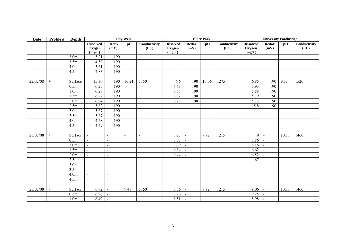| <b>Date</b> | Profile #      | <b>Depth</b>     |                                      |                             | <b>City Weir</b> |                      |                                      |                      | <b>Elder Park</b> |                      |                                      | <b>University Footbridge</b> |       |                      |
|-------------|----------------|------------------|--------------------------------------|-----------------------------|------------------|----------------------|--------------------------------------|----------------------|-------------------|----------------------|--------------------------------------|------------------------------|-------|----------------------|
|             |                |                  | <b>Dissolved</b><br>Oxygen<br>(mg/L) | <b>Redox</b><br>(mV)        | pH               | Conductivity<br>(EC) | <b>Dissolved</b><br>Oxygen<br>(mg/L) | <b>Redox</b><br>(mV) | pH                | Conductivity<br>(EC) | <b>Dissolved</b><br>Oxygen<br>(mg/L) | <b>Redox</b><br>(mV)         | pH    | Conductivity<br>(EC) |
|             |                | 3.0 <sub>m</sub> | 5.21                                 | 190                         |                  |                      |                                      |                      |                   |                      |                                      |                              |       |                      |
|             |                | 3.5m             | 4.59                                 | 190                         |                  |                      |                                      |                      |                   |                      |                                      |                              |       |                      |
|             |                | 4.0 <sub>m</sub> | 3.61                                 | 190                         |                  |                      |                                      |                      |                   |                      |                                      |                              |       |                      |
|             |                | 4.5m             | $\overline{2.83}$                    | 190                         |                  |                      |                                      |                      |                   |                      |                                      |                              |       |                      |
|             |                |                  |                                      |                             |                  |                      |                                      |                      |                   |                      |                                      |                              |       |                      |
| 22/02/08    | $\overline{4}$ | Surface          | 15.30                                | 190                         | 10.21            | 1150                 | 6.6                                  | 190                  | 10.06             | 1275                 | 6.85                                 | 190                          | 9.53  | 1520                 |
|             |                | 0.5m             | 6.25                                 | 190                         |                  |                      | 6.63                                 | 190                  |                   |                      | 5.93                                 | 190                          |       |                      |
|             |                | 1.0 <sub>m</sub> | 6.27                                 | 190                         |                  |                      | 6.68                                 | 190                  |                   |                      | 5.88                                 | 190                          |       |                      |
|             |                | 1.5m             | 6.22                                 | 190                         |                  |                      | 6.62                                 | 190                  |                   |                      | 5.79                                 | 190                          |       |                      |
|             |                | 2.0 <sub>m</sub> | 6.04                                 | 190                         |                  |                      | 6.78                                 | 190                  |                   |                      | 5.73                                 | 190                          |       |                      |
|             |                | 2.5m             | 5.82                                 | 190                         |                  |                      |                                      |                      |                   |                      | 5.8                                  | 190                          |       |                      |
|             |                | 3.0 <sub>m</sub> | 5.67                                 | 190                         |                  |                      |                                      |                      |                   |                      |                                      |                              |       |                      |
|             |                | 3.5m             | $\overline{5.67}$                    | 190                         |                  |                      |                                      |                      |                   |                      |                                      |                              |       |                      |
|             |                | 4.0 <sub>m</sub> | 4.58                                 | 190                         |                  |                      |                                      |                      |                   |                      |                                      |                              |       |                      |
|             |                | 4.5m             | 4.49                                 | 190                         |                  |                      |                                      |                      |                   |                      |                                      |                              |       |                      |
|             |                |                  |                                      |                             |                  |                      |                                      |                      |                   |                      |                                      |                              |       |                      |
| 25/02/08    |                | Surface          | $\sim$                               | $\blacksquare$              | $\blacksquare$   | $\blacksquare$       | 8.23                                 | $\sim$               | 9.92              | 1215                 | 9 <sup>1</sup>                       | $\sim$                       | 10.11 | 1460                 |
|             |                | 0.5m             | $\sim$                               | $\blacksquare$              |                  |                      | 8.03                                 | $\sim$               |                   |                      | 8.86                                 | $\sim$                       |       |                      |
|             |                | 1.0 <sub>m</sub> | $\blacksquare$                       | $\blacksquare$              |                  |                      | 7.9                                  | $\sim$               |                   |                      | 8.16                                 | $\blacksquare$               |       |                      |
|             |                | 1.5m             | $\sim$                               | $\blacksquare$              |                  |                      | 6.84                                 | $\blacksquare$       |                   |                      | 6.62                                 | $\blacksquare$               |       |                      |
|             |                | 2.0 <sub>m</sub> | $\blacksquare$                       | $\blacksquare$              |                  |                      | 6.44                                 | $\bar{\phantom{a}}$  |                   |                      | 6.52                                 |                              |       |                      |
|             |                | 2.5m             | $\blacksquare$                       | $\blacksquare$              |                  |                      |                                      |                      |                   |                      | 4.67                                 |                              |       |                      |
|             |                | 3.0 <sub>m</sub> | $\blacksquare$                       | $\blacksquare$              |                  |                      |                                      |                      |                   |                      |                                      |                              |       |                      |
|             |                | 3.5m             | $\sim$                               | $\blacksquare$              |                  |                      |                                      |                      |                   |                      |                                      |                              |       |                      |
|             |                | 4.0 <sub>m</sub> | $\blacksquare$                       | $\overline{\phantom{a}}$    |                  |                      |                                      |                      |                   |                      |                                      |                              |       |                      |
|             |                | 4.5m             | $\blacksquare$                       | $\blacksquare$              |                  |                      |                                      |                      |                   |                      |                                      |                              |       |                      |
|             |                |                  |                                      |                             |                  |                      |                                      |                      |                   |                      |                                      |                              |       |                      |
| 25/02/08    | $\overline{2}$ | Surface          | 6.92                                 | $\blacksquare$              | 9.48             | 1150                 | 8.86                                 | $\blacksquare$       | 9.92              | 1215                 | 9.06                                 | $\blacksquare$               | 10.11 | 1460                 |
|             |                | 0.5m             | 6.96                                 | $\sim$                      |                  |                      | 8.76                                 | $\sim$               |                   |                      | 9.25                                 | $\blacksquare$               |       |                      |
|             |                | 1.0 <sub>m</sub> | 6.49                                 | $\mathcal{L}_{\mathcal{A}}$ |                  |                      | $8.51$ -                             |                      |                   |                      | 8.98                                 | $\sim$                       |       |                      |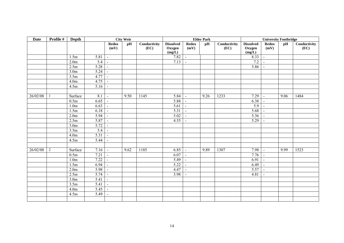| <b>Date</b> | Profile #      | Depth             |                   |                             | <b>City Weir</b> |                      |                                      |                             | <b>Elder Park</b> |                      |                                      | <b>University Footbridge</b> |      |                      |
|-------------|----------------|-------------------|-------------------|-----------------------------|------------------|----------------------|--------------------------------------|-----------------------------|-------------------|----------------------|--------------------------------------|------------------------------|------|----------------------|
|             |                |                   |                   | <b>Redox</b><br>(mV)        | pH               | Conductivity<br>(EC) | <b>Dissolved</b><br>Oxygen<br>(mg/L) | <b>Redox</b><br>(mV)        | pH                | Conductivity<br>(EC) | <b>Dissolved</b><br>Oxygen<br>(mg/L) | <b>Redox</b><br>(mV)         | pH   | Conductivity<br>(EC) |
|             |                | 1.5m              | 5.81              | $\blacksquare$              |                  |                      | 7.82                                 | $\mathbb{Z}$                |                   |                      | 8.33                                 | $\blacksquare$               |      |                      |
|             |                | 2.0 <sub>m</sub>  | 5.4               | $\blacksquare$              |                  |                      | 7.13                                 | $\sim$                      |                   |                      | 7.2                                  | $\blacksquare$               |      |                      |
|             |                | 2.5m              | 5.28              | $\Box$                      |                  |                      |                                      |                             |                   |                      | 5.86                                 | $\blacksquare$               |      |                      |
|             |                | $\overline{3}.0m$ | 5.24              | $\blacksquare$              |                  |                      |                                      |                             |                   |                      |                                      |                              |      |                      |
|             |                | 3.5m              | 4.77              | $\blacksquare$              |                  |                      |                                      |                             |                   |                      |                                      |                              |      |                      |
|             |                | 4.0 <sub>m</sub>  | 4.75              | $\mathcal{L}_{\mathcal{A}}$ |                  |                      |                                      |                             |                   |                      |                                      |                              |      |                      |
|             |                | 4.5m              | 5.16              | $\sim$                      |                  |                      |                                      |                             |                   |                      |                                      |                              |      |                      |
|             |                |                   |                   |                             |                  |                      |                                      |                             |                   |                      |                                      |                              |      |                      |
| 26/02/08    |                | Surface           | 8.1               | $\overline{\phantom{a}}$    | 9.50             | 1145                 | 5.84                                 | $\sim$                      | 9.26              | 1233                 | $\overline{7.29}$                    | $\blacksquare$               | 9.06 | 1484                 |
|             |                | 0.5m              | 6.65              | $\mathbb{Z}^2$              |                  |                      | 5.88                                 | $\mathcal{L}_{\mathcal{A}}$ |                   |                      | 6.38                                 | $\blacksquare$               |      |                      |
|             |                | 1.0 <sub>m</sub>  | 6.63              | $\sim$                      |                  |                      | $\overline{5.61}$                    | $\sim$                      |                   |                      | 5.9                                  | $\blacksquare$               |      |                      |
|             |                | 1.5m              | $6.18 -$          |                             |                  |                      | 5.31                                 | $\mathcal{L}$               |                   |                      | 5.68                                 | $\sim$                       |      |                      |
|             |                | 2.0 <sub>m</sub>  | 5.94              | $\blacksquare$              |                  |                      | 5.02                                 | $\sim$                      |                   |                      | 5.36                                 | $\blacksquare$               |      |                      |
|             |                | 2.5m              | 5.87              | $\blacksquare$              |                  |                      | 4.55                                 | $\sim$                      |                   |                      | 5.29                                 | $\blacksquare$               |      |                      |
|             |                | 3.0 <sub>m</sub>  | 5.72              | $\sim$                      |                  |                      |                                      |                             |                   |                      |                                      |                              |      |                      |
|             |                | 3.5m              | 5.4               | $\overline{\phantom{a}}$    |                  |                      |                                      |                             |                   |                      |                                      |                              |      |                      |
|             |                | 4.0m              | $\overline{5.31}$ | $\sim$                      |                  |                      |                                      |                             |                   |                      |                                      |                              |      |                      |
|             |                | 4.5m              | 5.44              | $\blacksquare$              |                  |                      |                                      |                             |                   |                      |                                      |                              |      |                      |
|             |                |                   |                   |                             |                  |                      |                                      |                             |                   |                      |                                      |                              |      |                      |
| 26/02/08    | $\overline{2}$ | Surface           | $7.16$ -          |                             | 9.62             | 1185                 | 6.85                                 | $\sim$                      | 9.89              | 1307                 | 7.98                                 | $\mathbf{r}$                 | 9.99 | 1523                 |
|             |                | 0.5m              | 7.21              | $\vert$ =                   |                  |                      | 6.07                                 | $\vert$ =                   |                   |                      | 7.76                                 | $\sim$                       |      |                      |
|             |                | 1.0 <sub>m</sub>  | 7.22              | $\mathcal{L}^{\mathcal{L}}$ |                  |                      | 5.49                                 | $\sim$                      |                   |                      | 6.91                                 | $\blacksquare$               |      |                      |
|             |                | 1.5m              | 6.94              | $\blacksquare$              |                  |                      | 5.22                                 | $\mathcal{L}_{\mathcal{A}}$ |                   |                      | 6.49                                 | $\blacksquare$               |      |                      |
|             |                | 2.0 <sub>m</sub>  | 5.98              | $\sim$                      |                  |                      | 4.47                                 | $\sim$                      |                   |                      | 5.57                                 | $\blacksquare$               |      |                      |
|             |                | 2.5m              | 5.74              | $\mathcal{L}_{\mathcal{A}}$ |                  |                      | 3.98                                 | $\sim$                      |                   |                      | 4.81                                 | $\blacksquare$               |      |                      |
|             |                | $\overline{3}.0m$ | 5.41              | $\mathcal{L}$               |                  |                      |                                      |                             |                   |                      |                                      |                              |      |                      |
|             |                | 3.5m              | 5.41              | $\bar{\mathbb{Z}}$          |                  |                      |                                      |                             |                   |                      |                                      |                              |      |                      |
|             |                | 4.0 <sub>m</sub>  | 5.45              | $\equiv$                    |                  |                      |                                      |                             |                   |                      |                                      |                              |      |                      |
|             |                | 4.5m              | 5.49              | $\overline{a}$              |                  |                      |                                      |                             |                   |                      |                                      |                              |      |                      |
|             |                |                   |                   |                             |                  |                      |                                      |                             |                   |                      |                                      |                              |      |                      |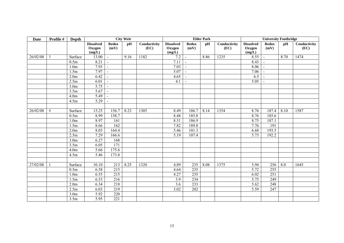| <b>Date</b> | Profile #      | Depth             |                                      |                          | <b>City Weir</b> |                      |                                      |                      | <b>Elder Park</b> |                      |                                      | <b>University Footbridge</b> |      |                      |
|-------------|----------------|-------------------|--------------------------------------|--------------------------|------------------|----------------------|--------------------------------------|----------------------|-------------------|----------------------|--------------------------------------|------------------------------|------|----------------------|
|             |                |                   | <b>Dissolved</b><br>Oxygen<br>(mg/L) | <b>Redox</b><br>(mV)     | pH               | Conductivity<br>(EC) | <b>Dissolved</b><br>Oxygen<br>(mg/L) | <b>Redox</b><br>(mV) | pH                | Conductivity<br>(EC) | <b>Dissolved</b><br>Oxygen<br>(mg/L) | <b>Redox</b><br>(mV)         | pH   | Conductivity<br>(EC) |
| 26/02/08    | 3              | Surface           | 13.00                                | $\blacksquare$           | 9.16             | 1182                 | 7.2                                  | $\sim$               | 8.86              | 1235                 | 8.55                                 | $\blacksquare$               | 8.70 | 1474                 |
|             |                | 0.5m              | 8.21                                 | $\bar{\phantom{a}}$      |                  |                      | 7.11                                 | $\sim$               |                   |                      | 8.43                                 |                              |      |                      |
|             |                | 1.0 <sub>m</sub>  | 7.93                                 | $\blacksquare$           |                  |                      | 7.03                                 | $\sim$               |                   |                      | 8.06                                 |                              |      |                      |
|             |                | 1.5m              | 7.97                                 | $\sim$                   |                  |                      | $\overline{5.07}$                    | $\sim$               |                   |                      | 7.06                                 |                              |      |                      |
|             |                | 2.0 <sub>m</sub>  | 6.42                                 | $\overline{\phantom{a}}$ |                  |                      | 4.65                                 | $\sim$               |                   |                      | 6.5                                  |                              |      |                      |
|             |                | $\overline{2.5m}$ | 6.01                                 | $\mathbb{L}$             |                  |                      | 4.1                                  | $\blacksquare$       |                   |                      | 5.05                                 | $\blacksquare$               |      |                      |
|             |                | 3.0 <sub>m</sub>  | 5.75                                 | $\blacksquare$           |                  |                      |                                      |                      |                   |                      |                                      |                              |      |                      |
|             |                | 3.5m              | 5.67                                 | $\overline{\phantom{a}}$ |                  |                      |                                      |                      |                   |                      |                                      |                              |      |                      |
|             |                | 4.0 <sub>m</sub>  | 5.49                                 | $\bar{\phantom{a}}$      |                  |                      |                                      |                      |                   |                      |                                      |                              |      |                      |
|             |                | 4.5m              | 5.29                                 | $\blacksquare$           |                  |                      |                                      |                      |                   |                      |                                      |                              |      |                      |
|             |                |                   |                                      |                          |                  |                      |                                      |                      |                   |                      |                                      |                              |      |                      |
| 26/02/08    | $\overline{4}$ | Surface           | 15.25                                | 156.7                    | 8.23             | 1305                 | 8.49                                 | 186.7                | 8.14              | 1354                 | 8.76                                 | 187.4                        | 8.10 | 1587                 |
|             |                | 0.5m              | 8.99                                 | 158.7                    |                  |                      | 8.48                                 | 185.8                |                   |                      | 8.76                                 | 185.6                        |      |                      |
|             |                | 1.0 <sub>m</sub>  | 8.97                                 | 161                      |                  |                      | 8.31                                 | 186.9                |                   |                      | 8.75                                 | 187.1                        |      |                      |
|             |                | 1.5m              | 8.66                                 | 162                      |                  |                      | 7.82                                 | 189.8                |                   |                      | 7.76                                 | 191                          |      |                      |
|             |                | 2.0 <sub>m</sub>  | 8.03                                 | 164.4                    |                  |                      | 5.46                                 | 101.3                |                   |                      | 6.68                                 | 193.5                        |      |                      |
|             |                | 2.5m              | 7.29                                 | 166.6                    |                  |                      | 5.19                                 | 107.4                |                   |                      | 5.73                                 | 192.2                        |      |                      |
|             |                | 3.0 <sub>m</sub>  | 6.27                                 | 168                      |                  |                      |                                      |                      |                   |                      |                                      |                              |      |                      |
|             |                | $\overline{3}.5m$ | 6.05                                 | $\overline{171}$         |                  |                      |                                      |                      |                   |                      |                                      |                              |      |                      |
|             |                | 4.0 <sub>m</sub>  | 5.66                                 | 175.6                    |                  |                      |                                      |                      |                   |                      |                                      |                              |      |                      |
|             |                | 4.5m              | 5.46                                 | 173.8                    |                  |                      |                                      |                      |                   |                      |                                      |                              |      |                      |
|             |                |                   |                                      |                          |                  |                      |                                      |                      |                   |                      |                                      |                              |      |                      |
| 27/02/08    |                | Surface           | 10.10                                | 213                      | 8.25             | 1320                 | 4.89                                 | 235                  | 8.08              | 1375                 | 5.94                                 | 256                          | 8.0  | 1645                 |
|             |                | 0.5m              | 6.58                                 | 215                      |                  |                      | 4.64                                 | 235                  |                   |                      | 5.72                                 | 255                          |      |                      |
|             |                | 1.0 <sub>m</sub>  | 6.55                                 | $\overline{215}$         |                  |                      | 4.27                                 | 235                  |                   |                      | 6.02                                 | 251                          |      |                      |
|             |                | 1.5m              | 6.53                                 | $\overline{216}$         |                  |                      | 3.9                                  | 234                  |                   |                      | 5.75                                 | 249                          |      |                      |
|             |                | 2.0 <sub>m</sub>  | 6.34                                 | 218                      |                  |                      | 3.6                                  | 233                  |                   |                      | 5.62                                 | 248                          |      |                      |
|             |                | 2.5m              | 6.03                                 | 219                      |                  |                      | 3.02                                 | 202                  |                   |                      | 5.59                                 | 247                          |      |                      |
|             |                | 3.0 <sub>m</sub>  | 5.92                                 | 220                      |                  |                      |                                      |                      |                   |                      |                                      |                              |      |                      |
|             |                | 3.5m              | 5.95                                 | 221                      |                  |                      |                                      |                      |                   |                      |                                      |                              |      |                      |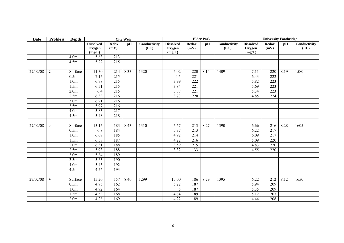| Date     | Profile #      | Depth            |                                      |                      | <b>City Weir</b> |                      |                                      |                      | <b>Elder Park</b> |                      |                                      | <b>University Footbridge</b> |      |                      |
|----------|----------------|------------------|--------------------------------------|----------------------|------------------|----------------------|--------------------------------------|----------------------|-------------------|----------------------|--------------------------------------|------------------------------|------|----------------------|
|          |                |                  | <b>Dissolved</b><br>Oxygen<br>(mg/L) | <b>Redox</b><br>(mV) | pH               | Conductivity<br>(EC) | <b>Dissolved</b><br>Oxygen<br>(mg/L) | <b>Redox</b><br>(mV) | pH                | Conductivity<br>(EC) | <b>Dissolved</b><br>Oxygen<br>(mg/L) | <b>Redox</b><br>(mV)         | pH   | Conductivity<br>(EC) |
|          |                | 4.0 <sub>m</sub> | 5.63                                 | 213                  |                  |                      |                                      |                      |                   |                      |                                      |                              |      |                      |
|          |                | 4.5m             | 5.22                                 | 215                  |                  |                      |                                      |                      |                   |                      |                                      |                              |      |                      |
|          |                |                  |                                      |                      |                  |                      |                                      |                      |                   |                      |                                      |                              |      |                      |
| 27/02/08 | 2              | Surface          | 11.30                                | 214                  | 8.33             | 1320                 | 5.02                                 | 220                  | 8.14              | 1409                 | 7.11                                 | 220                          | 8.19 | 1580                 |
|          |                | 0.5m             | 7.15                                 | 215                  |                  |                      | 4.5                                  | 221                  |                   |                      | 6.43                                 | 222                          |      |                      |
|          |                | 1.0 <sub>m</sub> | 6.98                                 | 215                  |                  |                      | 3.99                                 | 222                  |                   |                      | 5.82                                 | 223                          |      |                      |
|          |                | 1.5m             | 6.51                                 | 215                  |                  |                      | 3.84                                 | 221                  |                   |                      | 5.69                                 | 223                          |      |                      |
|          |                | 2.0 <sub>m</sub> | 6.4                                  | 215                  |                  |                      | 3.88                                 | 221                  |                   |                      | 5.34                                 | 223                          |      |                      |
|          |                | 2.5m             | 6.33                                 | 216                  |                  |                      | 3.73                                 | 220                  |                   |                      | 4.85                                 | 224                          |      |                      |
|          |                | 3.0 <sub>m</sub> | 6.21                                 | 216                  |                  |                      |                                      |                      |                   |                      |                                      |                              |      |                      |
|          |                | 3.5m             | 5.97                                 | 216                  |                  |                      |                                      |                      |                   |                      |                                      |                              |      |                      |
|          |                | 4.0 <sub>m</sub> | 5.83                                 | 217                  |                  |                      |                                      |                      |                   |                      |                                      |                              |      |                      |
|          |                | 4.5m             | 5.48                                 | 218                  |                  |                      |                                      |                      |                   |                      |                                      |                              |      |                      |
|          |                |                  |                                      |                      |                  |                      |                                      |                      |                   |                      |                                      |                              |      |                      |
| 27/02/08 | $\mathfrak{Z}$ | Surface          | 13.15                                | 183                  | 8.43             | 1310                 | 5.57                                 | 213                  | 8.27              | 1390                 | 6.66                                 | 216                          | 8.28 | 1605                 |
|          |                | 0.5m             | 6.8                                  | 184                  |                  |                      | 5.37                                 | 213                  |                   |                      | 6.22                                 | 217                          |      |                      |
|          |                | 1.0 <sub>m</sub> | 6.67                                 | 185                  |                  |                      | 4.92                                 | 214                  |                   |                      | 6.09                                 | $\overline{217}$             |      |                      |
|          |                | 1.5m             | 6.58                                 | 187                  |                  |                      | 4.22                                 | 216                  |                   |                      | 5.09                                 | 220                          |      |                      |
|          |                | 2.0 <sub>m</sub> | 6.31                                 | 188                  |                  |                      | 3.59                                 | 215                  |                   |                      | 4.83                                 | 220                          |      |                      |
|          |                | 2.5m             | 5.93                                 | 188                  |                  |                      | 3.32                                 | $\overline{133}$     |                   |                      | 4.55                                 | 220                          |      |                      |
|          |                | 3.0 <sub>m</sub> | 5.84                                 | 189                  |                  |                      |                                      |                      |                   |                      |                                      |                              |      |                      |
|          |                | 3.5m             | 5.63                                 | 190                  |                  |                      |                                      |                      |                   |                      |                                      |                              |      |                      |
|          |                | 4.0 <sub>m</sub> | 5.43                                 | 192                  |                  |                      |                                      |                      |                   |                      |                                      |                              |      |                      |
|          |                | 4.5m             | 4.56                                 | 193                  |                  |                      |                                      |                      |                   |                      |                                      |                              |      |                      |
|          |                |                  |                                      |                      |                  |                      |                                      |                      |                   |                      |                                      |                              |      |                      |
| 27/02/08 | $\overline{4}$ | Surface          | 15.20                                | 157                  | 8.40             | 1299                 | 15.00                                | 186                  | 8.29              | 1395                 | 6.22                                 | 212                          | 8.12 | 1650                 |
|          |                | 0.5m             | 4.75                                 | 162                  |                  |                      | 5.22                                 | 187                  |                   |                      | 5.94                                 | 209                          |      |                      |
|          |                | 1.0 <sub>m</sub> | 4.72                                 | 164                  |                  |                      | 5                                    | 187                  |                   |                      | 5.35                                 | 209                          |      |                      |
|          |                | 1.5m             | 4.53                                 | 168                  |                  |                      | 4.64                                 | 189                  |                   |                      | 5.12                                 | 207                          |      |                      |
|          |                | 2.0 <sub>m</sub> | 4.28                                 | 169                  |                  |                      | 4.22                                 | 189                  |                   |                      | 4.44                                 | 208                          |      |                      |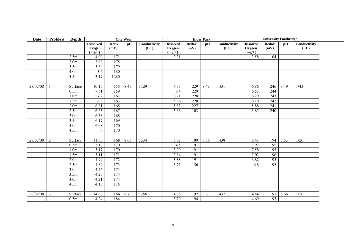| <b>Date</b> | Profile #      | Depth            |                                      |                      | <b>City Weir</b> |                      |                                      |                      | <b>Elder Park</b> |                      |                                      | <b>University Footbridge</b> |      |                      |
|-------------|----------------|------------------|--------------------------------------|----------------------|------------------|----------------------|--------------------------------------|----------------------|-------------------|----------------------|--------------------------------------|------------------------------|------|----------------------|
|             |                |                  | <b>Dissolved</b><br>Oxygen<br>(mg/L) | <b>Redox</b><br>(mV) | pH               | Conductivity<br>(EC) | <b>Dissolved</b><br>Oxygen<br>(mg/L) | <b>Redox</b><br>(mV) | pH                | Conductivity<br>(EC) | <b>Dissolved</b><br>Oxygen<br>(mg/L) | <b>Redox</b><br>(mV)         | pH   | Conductivity<br>(EC) |
|             |                | 2.5m             | 4.09                                 | 171                  |                  |                      | 3.31                                 |                      |                   |                      | 3.58                                 | 164                          |      |                      |
|             |                | 3.0 <sub>m</sub> | 3.98                                 | $\overline{175}$     |                  |                      |                                      |                      |                   |                      |                                      |                              |      |                      |
|             |                | 3.5m             | 3.64                                 | 179                  |                  |                      |                                      |                      |                   |                      |                                      |                              |      |                      |
|             |                | 4.0 <sub>m</sub> | $\overline{3.5}$                     | 180                  |                  |                      |                                      |                      |                   |                      |                                      |                              |      |                      |
|             |                | 4.5m             | 3.17                                 | 1280                 |                  |                      |                                      |                      |                   |                      |                                      |                              |      |                      |
| 28/02/08    |                | Surface          | 10.15                                | 155                  | 8.49             | 1329                 | 6.53                                 | 229                  | 8.49              | 1431                 | 6.86                                 | 246                          | 8.49 | 1743                 |
|             |                | 0.5m             | 7.31                                 | 159                  |                  |                      | 6.4                                  | 229                  |                   |                      | 6.53                                 | 244                          |      |                      |
|             |                | 1.0 <sub>m</sub> | 7.2                                  | 161                  |                  |                      | 6.21                                 | $\overline{228}$     |                   |                      | 6.29                                 | 243                          |      |                      |
|             |                | 1.5m             | 6.9                                  | 163                  |                  |                      | 5.96                                 | 228                  |                   |                      | 6.19                                 | 242                          |      |                      |
|             |                | 2.0 <sub>m</sub> | 6.81                                 | 165                  |                  |                      | 5.82                                 | 227                  |                   |                      | 5.88                                 | $\overline{241}$             |      |                      |
|             |                | 2.5m             | 6.63                                 | 167                  |                  |                      | 5.66                                 | 103                  |                   |                      | 5.85                                 | 240                          |      |                      |
|             |                | 3.0 <sub>m</sub> | 6.38                                 | 168                  |                  |                      |                                      |                      |                   |                      |                                      |                              |      |                      |
|             |                | 3.5m             | 6.17                                 | 169                  |                  |                      |                                      |                      |                   |                      |                                      |                              |      |                      |
|             |                | 4.0 <sub>m</sub> | 6.08                                 | 170                  |                  |                      |                                      |                      |                   |                      |                                      |                              |      |                      |
|             |                | 4.5m             | 6                                    | 170                  |                  |                      |                                      |                      |                   |                      |                                      |                              |      |                      |
| 28/02/08    | $\overline{2}$ | Surface          | 11.50                                | 168                  | 8.63             | 1334                 | 5.02                                 | 189                  | 8.56              | 1438                 | 8.41                                 | 194                          | 8.53 | 1720                 |
|             |                | 0.5m             | 5.18                                 | 170                  |                  |                      | 4.5                                  | 191                  |                   |                      | 7.97                                 | 195                          |      |                      |
|             |                | 1.0 <sub>m</sub> | 5.17                                 | 170                  |                  |                      | 3.99                                 | 191                  |                   |                      | 7.58                                 | 195                          |      |                      |
|             |                | 1.5m             | 5.11                                 | $\overline{171}$     |                  |                      | 3.84                                 | 191                  |                   |                      | 7.03                                 | 196                          |      |                      |
|             |                | 2.0 <sub>m</sub> | 4.99                                 | 172                  |                  |                      | 3.88                                 | 191                  |                   |                      | 6.82                                 | 195                          |      |                      |
|             |                | 2.5m             | 4.89                                 | 173                  |                  |                      | 3.73                                 | $\overline{56}$      |                   |                      | 6.8                                  | 195                          |      |                      |
|             |                | 3.0 <sub>m</sub> | 4.46                                 | $\overline{173}$     |                  |                      |                                      |                      |                   |                      |                                      |                              |      |                      |
|             |                | 3.5m             | 4.26                                 | 174                  |                  |                      |                                      |                      |                   |                      |                                      |                              |      |                      |
|             |                | 4.0 <sub>m</sub> | 4.21                                 | 174                  |                  |                      |                                      |                      |                   |                      |                                      |                              |      |                      |
|             |                | 4.5m             | 4.13                                 | $\overline{175}$     |                  |                      |                                      |                      |                   |                      |                                      |                              |      |                      |
| 28/02/08    | 3              | Surface          | 14.00                                | 184                  | 8.7              | 1356                 | 4.08                                 | 192                  | 8.63              | 1432                 | 4.84                                 | 197                          | 8.66 | 1710                 |
|             |                | 0.5m             | 4.24                                 | 184                  |                  |                      | 3.79                                 | 194                  |                   |                      | 4.69                                 | $\overline{197}$             |      |                      |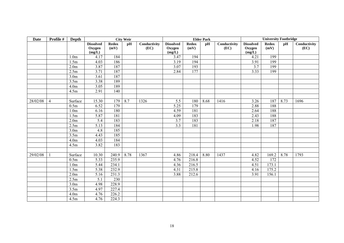| <b>Date</b> | Profile #      | Depth             |                                      |                      | <b>City Weir</b> |                      |                                      |                      | <b>Elder Park</b> |                      |                                      | <b>University Footbridge</b> |      |                      |
|-------------|----------------|-------------------|--------------------------------------|----------------------|------------------|----------------------|--------------------------------------|----------------------|-------------------|----------------------|--------------------------------------|------------------------------|------|----------------------|
|             |                |                   | <b>Dissolved</b><br>Oxygen<br>(mg/L) | <b>Redox</b><br>(mV) | pH               | Conductivity<br>(EC) | <b>Dissolved</b><br>Oxygen<br>(mg/L) | <b>Redox</b><br>(mV) | pH                | Conductivity<br>(EC) | <b>Dissolved</b><br>Oxygen<br>(mg/L) | <b>Redox</b><br>(mV)         | pH   | Conductivity<br>(EC) |
|             |                | 1.0 <sub>m</sub>  | 4.17                                 | 184                  |                  |                      | 3.47                                 | 194                  |                   |                      | 4.21                                 | 199                          |      |                      |
|             |                | 1.5m              | 4.03                                 | 186                  |                  |                      | 3.19                                 | 194                  |                   |                      | 3.91                                 | 199                          |      |                      |
|             |                | 2.0 <sub>m</sub>  | 3.87                                 | 187                  |                  |                      | 3.07                                 | 193                  |                   |                      | 3.7                                  | 199                          |      |                      |
|             |                | $\overline{2}.5m$ | 3.71                                 | 187                  |                  |                      | 2.84                                 | 177                  |                   |                      | 3.33                                 | 199                          |      |                      |
|             |                | 3.0 <sub>m</sub>  | 3.61                                 | 187                  |                  |                      |                                      |                      |                   |                      |                                      |                              |      |                      |
|             |                | 3.5m              | 3.38                                 | 189                  |                  |                      |                                      |                      |                   |                      |                                      |                              |      |                      |
|             |                | 4.0 <sub>m</sub>  | 3.05                                 | 189                  |                  |                      |                                      |                      |                   |                      |                                      |                              |      |                      |
|             |                | 4.5m              | 2.91                                 | 140                  |                  |                      |                                      |                      |                   |                      |                                      |                              |      |                      |
|             |                |                   |                                      |                      |                  |                      |                                      |                      |                   |                      |                                      |                              |      |                      |
| 28/02/08    | $\overline{4}$ | Surface           | 15.30                                | 179                  | 8.7              | 1326                 | 5.5                                  | 180                  | 8.68              | 1416                 | 3.26                                 | 187                          | 8.73 | 1696                 |
|             |                | 0.5m              | 6.52                                 | 179                  |                  |                      | 5.25                                 | 179                  |                   |                      | 2.88                                 | 188                          |      |                      |
|             |                | 1.0 <sub>m</sub>  | 6.16                                 | 180                  |                  |                      | 4.59                                 | 181                  |                   |                      | 2.64                                 | 188                          |      |                      |
|             |                | 1.5m              | 5.87                                 | 181                  |                  |                      | 4.09                                 | 183                  |                   |                      | 2.43                                 | 188                          |      |                      |
|             |                | 2.0 <sub>m</sub>  | 5.4                                  | 183                  |                  |                      | 3.7                                  | 183                  |                   |                      | 2.18                                 | 187                          |      |                      |
|             |                | 2.5m              | 5.13                                 | 184                  |                  |                      | 3.3                                  | 181                  |                   |                      | 1.98                                 | 187                          |      |                      |
|             |                | 3.0 <sub>m</sub>  | 4.8                                  | 185                  |                  |                      |                                      |                      |                   |                      |                                      |                              |      |                      |
|             |                | 3.5m              | 4.43                                 | 185                  |                  |                      |                                      |                      |                   |                      |                                      |                              |      |                      |
|             |                | 4.0 <sub>m</sub>  | 4.03                                 | 184                  |                  |                      |                                      |                      |                   |                      |                                      |                              |      |                      |
|             |                | 4.5m              | 3.82                                 | 183                  |                  |                      |                                      |                      |                   |                      |                                      |                              |      |                      |
|             |                |                   |                                      |                      |                  |                      |                                      |                      |                   |                      |                                      |                              |      |                      |
| 29/02/08    |                | Surface           | 10.30                                | 240.9                | 8.78             | 1367                 | 4.86                                 | 218.4                | 8.80              | 1437                 | 4.82                                 | 169.2                        | 8.78 | 1793                 |
|             |                | 0.5m              | 5.33                                 | 235.9                |                  |                      | 4.76                                 | 216.8                |                   |                      | 4.52                                 | 172                          |      |                      |
|             |                | 1.0 <sub>m</sub>  | 5.44                                 | 234.1                |                  |                      | 4.36                                 | 216.5                |                   |                      | 4.51                                 | 173.1                        |      |                      |
|             |                | 1.5m              | 5.38                                 | 232.9                |                  |                      | 4.31                                 | 215.8                |                   |                      | 4.16                                 | 175.2                        |      |                      |
|             |                | 2.0 <sub>m</sub>  | 5.16                                 | 231.3                |                  |                      | 3.88                                 | 212.6                |                   |                      | 3.91                                 | 156.1                        |      |                      |
|             |                | 2.5m              | 5.1                                  | 230                  |                  |                      |                                      |                      |                   |                      |                                      |                              |      |                      |
|             |                | 3.0 <sub>m</sub>  | 4.98                                 | 228.9                |                  |                      |                                      |                      |                   |                      |                                      |                              |      |                      |
|             |                | 3.5m              | 4.97                                 | 227.4                |                  |                      |                                      |                      |                   |                      |                                      |                              |      |                      |
|             |                | 4.0 <sub>m</sub>  | 4.76                                 | 226.2                |                  |                      |                                      |                      |                   |                      |                                      |                              |      |                      |
|             |                | 4.5m              | 4.76                                 | 224.3                |                  |                      |                                      |                      |                   |                      |                                      |                              |      |                      |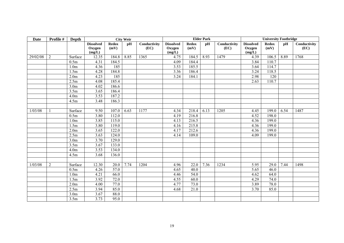| Date     | Profile #      | Depth            |                                      |                      | <b>City Weir</b> |                      |                                      |                      | <b>Elder Park</b> |                      |                                      | <b>University Footbridge</b> |      |                      |
|----------|----------------|------------------|--------------------------------------|----------------------|------------------|----------------------|--------------------------------------|----------------------|-------------------|----------------------|--------------------------------------|------------------------------|------|----------------------|
|          |                |                  | <b>Dissolved</b><br>Oxygen<br>(mg/L) | <b>Redox</b><br>(mV) | pH               | Conductivity<br>(EC) | <b>Dissolved</b><br>Oxygen<br>(mg/L) | <b>Redox</b><br>(mV) | pH                | Conductivity<br>(EC) | <b>Dissolved</b><br>Oxygen<br>(mg/L) | <b>Redox</b><br>(mV)         | pH   | Conductivity<br>(EC) |
| 29/02/08 | 2              | Surface          | 12.35                                | 184.8                | 8.85             | 1365                 | 4.75                                 | 184.5                | 8.93              | 1479                 | 4.39                                 | 106.5                        | 8.89 | 1768                 |
|          |                | 0.5m             | 4.31                                 | 184.5                |                  |                      | 4.09                                 | 184.4                |                   |                      | 3.84                                 | 110.7                        |      |                      |
|          |                | 1.0 <sub>m</sub> | 4.36                                 | 185                  |                  |                      | 3.53                                 | 185.5                |                   |                      | 3.64                                 | 114.7                        |      |                      |
|          |                | 1.5m             | 4.28                                 | 184.8                |                  |                      | 3.36                                 | 186.4                |                   |                      | 3.24                                 | 118.5                        |      |                      |
|          |                | 2.0 <sub>m</sub> | 4.23                                 | 185                  |                  |                      | 3.24                                 | 184.1                |                   |                      | 2.98                                 | 120                          |      |                      |
|          |                | 2.5m             | 4.08                                 | 185.4                |                  |                      |                                      |                      |                   |                      | 2.63                                 | 110.7                        |      |                      |
|          |                | 3.0 <sub>m</sub> | 4.02                                 | 186.6                |                  |                      |                                      |                      |                   |                      |                                      |                              |      |                      |
|          |                | 3.5m             | 3.65                                 | 186.4                |                  |                      |                                      |                      |                   |                      |                                      |                              |      |                      |
|          |                | 4.0 <sub>m</sub> | 3.53                                 | 187.2                |                  |                      |                                      |                      |                   |                      |                                      |                              |      |                      |
|          |                | 4.5m             | 3.48                                 | 186.3                |                  |                      |                                      |                      |                   |                      |                                      |                              |      |                      |
|          |                |                  |                                      |                      |                  |                      |                                      |                      |                   |                      |                                      |                              |      |                      |
| 1/03/08  |                | Surface          | 9.50                                 | 107.0                | 6.63             | 1177                 | 4.34                                 | 218.4                | 6.13              | 1205                 | 4.45                                 | 199.0                        | 6.54 | 1487                 |
|          |                | 0.5m             | 3.80                                 | 112.0                |                  |                      | 4.19                                 | 216.8                |                   |                      | 4.52                                 | 198.0                        |      |                      |
|          |                | 1.0 <sub>m</sub> | 3.85                                 | 115.0                |                  |                      | 4.13                                 | 216.5                |                   |                      | 4.36                                 | 199.0                        |      |                      |
|          |                | 1.5m             | 3.80                                 | 119.0                |                  |                      | 4.16                                 | 215.8                |                   |                      | 4.36                                 | 199.0                        |      |                      |
|          |                | 2.0 <sub>m</sub> | 3.65                                 | 122.0                |                  |                      | 4.17                                 | 212.6                |                   |                      | 4.36                                 | 199.0                        |      |                      |
|          |                | 2.5m             | 3.63                                 | 124.0                |                  |                      | 4.14                                 | 109.0                |                   |                      | 4.09                                 | 199.0                        |      |                      |
|          |                | 3.0 <sub>m</sub> | 3.70                                 | 129.0                |                  |                      |                                      |                      |                   |                      |                                      |                              |      |                      |
|          |                | 3.5m             | 3.67                                 | 133.0                |                  |                      |                                      |                      |                   |                      |                                      |                              |      |                      |
|          |                | 4.0 <sub>m</sub> | 3.53                                 | 134.0                |                  |                      |                                      |                      |                   |                      |                                      |                              |      |                      |
|          |                | 4.5m             | 3.68                                 | 136.0                |                  |                      |                                      |                      |                   |                      |                                      |                              |      |                      |
|          |                |                  |                                      |                      |                  |                      |                                      |                      |                   |                      |                                      |                              |      |                      |
| 1/03/08  | $\overline{2}$ | Surface          | 12.30                                | 20.0                 | 7.74             | 1204                 | 4.96                                 | 22.0                 | 7.36              | 1234                 | 5.95                                 | 29.0                         | 7.44 | 1498                 |
|          |                | 0.5m             | 4.26                                 | 57.0                 |                  |                      | 4.65                                 | 40.0                 |                   |                      | 5.65                                 | 46.0                         |      |                      |
|          |                | 1.0 <sub>m</sub> | 4.21                                 | 66.0                 |                  |                      | 4.46                                 | 54.0                 |                   |                      | 4.62                                 | 64.0                         |      |                      |
|          |                | 1.5m             | 3.92                                 | 72.0                 |                  |                      | 4.55                                 | 60.0                 |                   |                      | 4.29                                 | 74.0                         |      |                      |
|          |                | 2.0 <sub>m</sub> | 4.00                                 | 77.0                 |                  |                      | 4.77                                 | 73.0                 |                   |                      | 3.89                                 | 78.0                         |      |                      |
|          |                | 2.5m             | 3.94                                 | 85.0                 |                  |                      | 4.68                                 | 21.0                 |                   |                      | 3.70                                 | 85.0                         |      |                      |
|          |                | 3.0 <sub>m</sub> | 3.67                                 | 88.0                 |                  |                      |                                      |                      |                   |                      |                                      |                              |      |                      |
|          |                | 3.5m             | 3.73                                 | 95.0                 |                  |                      |                                      |                      |                   |                      |                                      |                              |      |                      |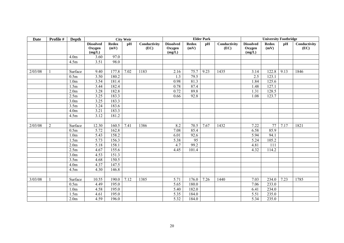| <b>Date</b> | Profile #      | Depth            |                                      |                      | <b>City Weir</b> |                      |                                      |                      | <b>Elder Park</b> |                      |                                      | <b>University Footbridge</b> |      |                      |
|-------------|----------------|------------------|--------------------------------------|----------------------|------------------|----------------------|--------------------------------------|----------------------|-------------------|----------------------|--------------------------------------|------------------------------|------|----------------------|
|             |                |                  | <b>Dissolved</b><br>Oxygen<br>(mg/L) | <b>Redox</b><br>(mV) | pH               | Conductivity<br>(EC) | <b>Dissolved</b><br>Oxygen<br>(mg/L) | <b>Redox</b><br>(mV) | pH                | Conductivity<br>(EC) | <b>Dissolved</b><br>Oxygen<br>(mg/L) | <b>Redox</b><br>(mV)         | pH   | Conductivity<br>(EC) |
|             |                | 4.0 <sub>m</sub> | 3.60                                 | 97.0                 |                  |                      |                                      |                      |                   |                      |                                      |                              |      |                      |
|             |                | 4.5m             | 3.51                                 | 98.0                 |                  |                      |                                      |                      |                   |                      |                                      |                              |      |                      |
|             |                |                  |                                      |                      |                  |                      |                                      |                      |                   |                      |                                      |                              |      |                      |
| 2/03/08     |                | Surface          | 9.40                                 | 177.8                | 7.02             | 1183                 | 2.16                                 | 75.7                 | 9.23              | 1435                 | 3.14                                 | 122.8                        | 9.13 | 1846                 |
|             |                | 0.5m             | 3.50                                 | $\overline{180.2}$   |                  |                      | 1.3                                  | 79.5                 |                   |                      | 2.5                                  | 123.1                        |      |                      |
|             |                | 1.0 <sub>m</sub> | 3.54                                 | 181.4                |                  |                      | 0.98                                 | 81.3                 |                   |                      | 1.84                                 | 125.6                        |      |                      |
|             |                | 1.5m             | 3.44                                 | 182.4                |                  |                      | 0.78                                 | 87.4                 |                   |                      | 1.48                                 | 127.1                        |      |                      |
|             |                | 2.0 <sub>m</sub> | 3.28                                 | 182.8                |                  |                      | 0.72                                 | 89.8                 |                   |                      | 1.31                                 | 128.5                        |      |                      |
|             |                | 2.5m             | 3.25                                 | 183.3                |                  |                      | 0.66                                 | 92.8                 |                   |                      | 1.08                                 | 123.7                        |      |                      |
|             |                | 3.0 <sub>m</sub> | 3.25                                 | 183.3                |                  |                      |                                      |                      |                   |                      |                                      |                              |      |                      |
|             |                | 3.5m             | 3.24                                 | 183.6                |                  |                      |                                      |                      |                   |                      |                                      |                              |      |                      |
|             |                | 4.0 <sub>m</sub> | 3.21                                 | 183.3                |                  |                      |                                      |                      |                   |                      |                                      |                              |      |                      |
|             |                | 4.5m             | 3.12                                 | 181.2                |                  |                      |                                      |                      |                   |                      |                                      |                              |      |                      |
|             |                |                  |                                      |                      |                  |                      |                                      |                      |                   |                      |                                      |                              |      |                      |
| 2/03/08     | $\overline{2}$ | Surface          | 12.30                                | 160.5                | 7.41             | 1386                 | 8.2                                  | 70.5                 | 7.67              | 1432                 | 7.22                                 | 77                           | 7.17 | 1821                 |
|             |                | 0.5m             | 5.72                                 | 162.8                |                  |                      | 7.08                                 | 85.4                 |                   |                      | 6.58                                 | 85.9                         |      |                      |
|             |                | 1.0 <sub>m</sub> | 5.43                                 | 158.2                |                  |                      | 6.01                                 | 92.6                 |                   |                      | 5.94                                 | 94.1                         |      |                      |
|             |                | 1.5m             | 5.73                                 | 156.3                |                  |                      | 5.38                                 | $\overline{95}$      |                   |                      | 5.24                                 | 105.2                        |      |                      |
|             |                | 2.0 <sub>m</sub> | 5.18                                 | 158.1                |                  |                      | 4.7                                  | 99.2                 |                   |                      | 4.81                                 | 111                          |      |                      |
|             |                | 2.5m             | 4.67                                 | 155.6                |                  |                      | 4.45                                 | 101.4                |                   |                      | 4.32                                 | 114.2                        |      |                      |
|             |                | 3.0 <sub>m</sub> | 4.53                                 | 151.3                |                  |                      |                                      |                      |                   |                      |                                      |                              |      |                      |
|             |                | 3.5m             | 4.68                                 | 150.5                |                  |                      |                                      |                      |                   |                      |                                      |                              |      |                      |
|             |                | 4.0 <sub>m</sub> | 4.37                                 | 147.5                |                  |                      |                                      |                      |                   |                      |                                      |                              |      |                      |
|             |                | 4.5m             | 4.30                                 | 146.8                |                  |                      |                                      |                      |                   |                      |                                      |                              |      |                      |
|             |                |                  |                                      |                      |                  |                      |                                      |                      |                   |                      |                                      |                              |      |                      |
| 3/03/08     |                | Surface          | 10.55                                | 190.0                | 7.12             | 1385                 | 5.71                                 | 176.0                | 7.26              | 1440                 | 7.03                                 | 234.0                        | 7.23 | 1785                 |
|             |                | 0.5m             | 4.49                                 | 195.0                |                  |                      | 5.65                                 | 180.0                |                   |                      | 7.06                                 | 233.0                        |      |                      |
|             |                | 1.0 <sub>m</sub> | 4.58                                 | 195.0                |                  |                      | 5.40                                 | 182.0                |                   |                      | 6.41                                 | 234.0                        |      |                      |
|             |                | 1.5m             | 4.61                                 | 195.0                |                  |                      | 5.35                                 | 184.0                |                   |                      | 5.51                                 | 235.0                        |      |                      |
|             |                | 2.0 <sub>m</sub> | 4.59                                 | 196.0                |                  |                      | 5.32                                 | 184.0                |                   |                      | 5.34                                 | 235.0                        |      |                      |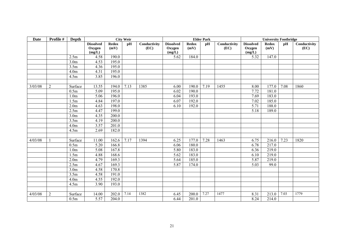| <b>Date</b> | Profile #      | Depth            |                                      |                      | <b>City Weir</b> |                      |                                      |                      | <b>Elder Park</b> |                      |                                      | <b>University Footbridge</b> |      |                      |
|-------------|----------------|------------------|--------------------------------------|----------------------|------------------|----------------------|--------------------------------------|----------------------|-------------------|----------------------|--------------------------------------|------------------------------|------|----------------------|
|             |                |                  | <b>Dissolved</b><br>Oxygen<br>(mg/L) | <b>Redox</b><br>(mV) | pH               | Conductivity<br>(EC) | <b>Dissolved</b><br>Oxygen<br>(mg/L) | <b>Redox</b><br>(mV) | pH                | Conductivity<br>(EC) | <b>Dissolved</b><br>Oxygen<br>(mg/L) | <b>Redox</b><br>(mV)         | pH   | Conductivity<br>(EC) |
|             |                | 2.5m             | 4.58                                 | 190.0                |                  |                      | 5.62                                 | 184.0                |                   |                      | 5.32                                 | 147.0                        |      |                      |
|             |                | 3.0 <sub>m</sub> | 4.53                                 | 195.0                |                  |                      |                                      |                      |                   |                      |                                      |                              |      |                      |
|             |                | 3.5m             | 4.36                                 | 195.0                |                  |                      |                                      |                      |                   |                      |                                      |                              |      |                      |
|             |                | 4.0 <sub>m</sub> | 4.31                                 | 195.0                |                  |                      |                                      |                      |                   |                      |                                      |                              |      |                      |
|             |                | 4.5m             | 3.85                                 | 196.0                |                  |                      |                                      |                      |                   |                      |                                      |                              |      |                      |
|             |                |                  |                                      |                      |                  |                      |                                      |                      |                   |                      |                                      |                              |      |                      |
| 3/03/08     | $\overline{2}$ | Surface          | 13.55                                | 194.0                | 7.13             | 1385                 | 6.00                                 | 190.0                | 7.19              | 1455                 | 8.00                                 | 177.0                        | 7.08 | 1860                 |
|             |                | 0.5m             | 5.09                                 | 195.0                |                  |                      | 6.02                                 | 190.0                |                   |                      | 7.72                                 | 181.0                        |      |                      |
|             |                | 1.0 <sub>m</sub> | 5.06                                 | 196.0                |                  |                      | 6.04                                 | 193.0                |                   |                      | 7.69                                 | 183.0                        |      |                      |
|             |                | 1.5m             | 4.84                                 | 197.0                |                  |                      | 6.07                                 | 192.0                |                   |                      | 7.02                                 | 185.0                        |      |                      |
|             |                | 2.0 <sub>m</sub> | 4.63                                 | 198.0                |                  |                      | 6.10                                 | 192.0                |                   |                      | 5.71                                 | 188.0                        |      |                      |
|             |                | 2.5m             | 4.47                                 | 199.0                |                  |                      |                                      |                      |                   |                      | 5.18                                 | 189.0                        |      |                      |
|             |                | 3.0 <sub>m</sub> | 4.35                                 | 200.0                |                  |                      |                                      |                      |                   |                      |                                      |                              |      |                      |
|             |                | 3.5m             | 4.19                                 | 200.0                |                  |                      |                                      |                      |                   |                      |                                      |                              |      |                      |
|             |                | 4.0 <sub>m</sub> | 3.57                                 | 201.0                |                  |                      |                                      |                      |                   |                      |                                      |                              |      |                      |
|             |                | 4.5m             | 2.69                                 | 182.0                |                  |                      |                                      |                      |                   |                      |                                      |                              |      |                      |
|             |                |                  |                                      |                      |                  |                      |                                      |                      |                   |                      |                                      |                              |      |                      |
| 4/03/08     |                | Surface          | 11.00                                | 162.6                | 7.17             | 1394                 | 6.25                                 | 177.0                | 7.28              | 1463                 | 6.75                                 | 216.0                        | 7.23 | 1820                 |
|             |                | 0.5m             | 5.20                                 | 166.8                |                  |                      | 6.06                                 | 180.0                |                   |                      | 6.78                                 | 217.0                        |      |                      |
|             |                | 1.0 <sub>m</sub> | 5.08                                 | 167.8                |                  |                      | 5.80                                 | 183.0                |                   |                      | 6.36                                 | 219.0                        |      |                      |
|             |                | 1.5m             | 4.88                                 | 168.6                |                  |                      | 5.62                                 | 183.0                |                   |                      | 6.10                                 | 219.0                        |      |                      |
|             |                | 2.0 <sub>m</sub> | 4.79                                 | 169.3                |                  |                      | 5.64                                 | 185.0                |                   |                      | 5.87                                 | 219.0                        |      |                      |
|             |                | 2.5m             | 4.67                                 | 169.3                |                  |                      | 5.87                                 | 174.0                |                   |                      | 5.03                                 | 99.0                         |      |                      |
|             |                | 3.0 <sub>m</sub> | 4.58                                 | 170.8                |                  |                      |                                      |                      |                   |                      |                                      |                              |      |                      |
|             |                | 3.5m             | 4.58                                 | 191.0                |                  |                      |                                      |                      |                   |                      |                                      |                              |      |                      |
|             |                | 4.0 <sub>m</sub> | 4.55                                 | 192.0                |                  |                      |                                      |                      |                   |                      |                                      |                              |      |                      |
|             |                | 4.5m             | 3.90                                 | 193.0                |                  |                      |                                      |                      |                   |                      |                                      |                              |      |                      |
|             |                |                  |                                      |                      |                  |                      |                                      |                      |                   |                      |                                      |                              |      |                      |
| 4/03/08     | $\overline{2}$ | Surface          | 14.00                                | 202.0                | 7.14             | 1382                 | 6.45                                 | 200.0                | 7.27              | 1477                 | 8.31                                 | 213.0                        | 7.03 | 1779                 |
|             |                | 0.5m             | 5.57                                 | 204.0                |                  |                      | 6.44                                 | 201.0                |                   |                      | 8.24                                 | 214.0                        |      |                      |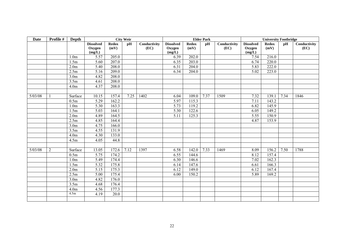| <b>Date</b> | Profile #      | Depth            |                                      |                      | <b>City Weir</b> |                      |                                      |                      | <b>Elder Park</b> |                      |                                      | <b>University Footbridge</b> |      |                      |
|-------------|----------------|------------------|--------------------------------------|----------------------|------------------|----------------------|--------------------------------------|----------------------|-------------------|----------------------|--------------------------------------|------------------------------|------|----------------------|
|             |                |                  | <b>Dissolved</b><br>Oxygen<br>(mg/L) | <b>Redox</b><br>(mV) | pH               | Conductivity<br>(EC) | <b>Dissolved</b><br>Oxygen<br>(mg/L) | <b>Redox</b><br>(mV) | pH                | Conductivity<br>(EC) | <b>Dissolved</b><br>Oxygen<br>(mg/L) | <b>Redox</b><br>(mV)         | pH   | Conductivity<br>(EC) |
|             |                | 1.0 <sub>m</sub> | 5.57                                 | 205.0                |                  |                      | 6.39                                 | 202.0                |                   |                      | 7.54                                 | 216.0                        |      |                      |
|             |                | 1.5m             | 5.60                                 | 207.0                |                  |                      | 6.35                                 | 203.0                |                   |                      | 6.74                                 | 220.0                        |      |                      |
|             |                | 2.0 <sub>m</sub> | 5.40                                 | 208.0                |                  |                      | 6.31                                 | 204.0                |                   |                      | 5.83                                 | 222.0                        |      |                      |
|             |                | 2.5m             | 5.16                                 | 209.0                |                  |                      | 6.34                                 | 204.0                |                   |                      | 5.02                                 | 223.0                        |      |                      |
|             |                | 3.0 <sub>m</sub> | 4.82                                 | 208.0                |                  |                      |                                      |                      |                   |                      |                                      |                              |      |                      |
|             |                | 3.5m             | 4.61                                 | 208.0                |                  |                      |                                      |                      |                   |                      |                                      |                              |      |                      |
|             |                | 4.0 <sub>m</sub> | 4.37                                 | 208.0                |                  |                      |                                      |                      |                   |                      |                                      |                              |      |                      |
|             |                |                  |                                      |                      |                  |                      |                                      |                      |                   |                      |                                      |                              |      |                      |
| 5/03/08     |                | Surface          | 10.15                                | 157.4                | 7.25             | 1402                 | 6.04                                 | 109.0                | 7.37              | 1509                 | 7.32                                 | 139.1                        | 7.34 | 1846                 |
|             |                | 0.5m             | 5.29                                 | 162.2                |                  |                      | 5.97                                 | 115.3                |                   |                      | 7.11                                 | 143.2                        |      |                      |
|             |                | 1.0 <sub>m</sub> | 5.30                                 | 163.3                |                  |                      | 5.73                                 | 119.2                |                   |                      | 6.82                                 | 145.9                        |      |                      |
|             |                | 1.5m             | 5.03                                 | 164.1                |                  |                      | 5.30                                 | 122.6                |                   |                      | 6.05                                 | 149.2                        |      |                      |
|             |                | 2.0 <sub>m</sub> | 4.89                                 | 164.5                |                  |                      | 5.11                                 | 125.3                |                   |                      | 5.55                                 | 150.9                        |      |                      |
|             |                | 2.5m             | 4.85                                 | 164.4                |                  |                      |                                      |                      |                   |                      | 4.87                                 | 153.9                        |      |                      |
|             |                | 3.0 <sub>m</sub> | 4.75                                 | 166.0                |                  |                      |                                      |                      |                   |                      |                                      |                              |      |                      |
|             |                | 3.5m             | 4.55                                 | 131.9                |                  |                      |                                      |                      |                   |                      |                                      |                              |      |                      |
|             |                | 4.0 <sub>m</sub> | 4.30                                 | 133.0                |                  |                      |                                      |                      |                   |                      |                                      |                              |      |                      |
|             |                | 4.5m             | 4.05                                 | 44.8                 |                  |                      |                                      |                      |                   |                      |                                      |                              |      |                      |
|             |                |                  |                                      |                      |                  |                      |                                      |                      |                   |                      |                                      |                              |      |                      |
| 5/03/08     | $\overline{2}$ | Surface          | 13.05                                | 172.6                | 7.12             | 1397                 | 6.58                                 | 142.0                | 7.33              | 1469                 | 8.09                                 | 156.2                        | 7.50 | 1788                 |
|             |                | 0.5m             | 5.75                                 | 174.2                |                  |                      | 6.55                                 | 144.6                |                   |                      | 8.12                                 | 157.4                        |      |                      |
|             |                | 1.0 <sub>m</sub> | 5.49                                 | 174.4                |                  |                      | 6.30                                 | 146.6                |                   |                      | 7.02                                 | 162.3                        |      |                      |
|             |                | 1.5m             | 5.32                                 | 175.8                |                  |                      | 6.14                                 | 147.6                |                   |                      | 6.61                                 | 166.3                        |      |                      |
|             |                | 2.0 <sub>m</sub> | 5.15                                 | 175.3                |                  |                      | 6.12                                 | 149.0                |                   |                      | 6.12                                 | 167.4                        |      |                      |
|             |                | 2.5m             | 5.00                                 | 175.4                |                  |                      | 6.00                                 | 150.2                |                   |                      | 5.89                                 | 169.2                        |      |                      |
|             |                | 3.0 <sub>m</sub> | 4.82                                 | 176.0                |                  |                      |                                      |                      |                   |                      |                                      |                              |      |                      |
|             |                | 3.5m             | 4.68                                 | 176.4                |                  |                      |                                      |                      |                   |                      |                                      |                              |      |                      |
|             |                | 4.0 <sub>m</sub> | 4.56                                 | 177.3                |                  |                      |                                      |                      |                   |                      |                                      |                              |      |                      |
|             |                | 4.5m             | 4.19                                 | 20.0                 |                  |                      |                                      |                      |                   |                      |                                      |                              |      |                      |
|             |                |                  |                                      |                      |                  |                      |                                      |                      |                   |                      |                                      |                              |      |                      |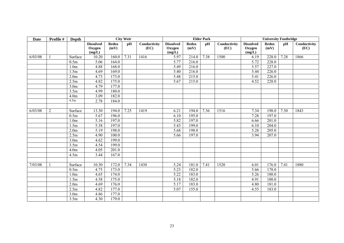| <b>Date</b> | Profile # | Depth            |                                      |                      | <b>City Weir</b> |                      |                                      |                      | <b>Elder Park</b> |                      |                                      | <b>University Footbridge</b> |      |                      |
|-------------|-----------|------------------|--------------------------------------|----------------------|------------------|----------------------|--------------------------------------|----------------------|-------------------|----------------------|--------------------------------------|------------------------------|------|----------------------|
|             |           |                  | <b>Dissolved</b><br>Oxygen<br>(mg/L) | <b>Redox</b><br>(mV) | pH               | Conductivity<br>(EC) | <b>Dissolved</b><br>Oxygen<br>(mg/L) | <b>Redox</b><br>(mV) | pH                | Conductivity<br>(EC) | <b>Dissolved</b><br>Oxygen<br>(mg/L) | <b>Redox</b><br>(mV)         | pH   | Conductivity<br>(EC) |
| 6/03/08     |           | Surface          | 10.20                                | 160.0                | 7.31             | 1416                 | 5.97                                 | 214.0                | 7.38              | 1500                 | 6.19                                 | 228.0                        | 7.28 | 1866                 |
|             |           | 0.5m             | 5.06                                 | 164.0                |                  |                      | 5.77                                 | 216.0                |                   |                      | 5.72                                 | 228.0                        |      |                      |
|             |           | 1.0 <sub>m</sub> | 4.88                                 | 168.0                |                  |                      | 5.49                                 | 216.0                |                   |                      | 5.57                                 | 227.0                        |      |                      |
|             |           | 1.5m             | 4.69                                 | 169.0                |                  |                      | 5.40                                 | 216.0                |                   |                      | 5.44                                 | 226.0                        |      |                      |
|             |           | 2.0 <sub>m</sub> | 4.73                                 | 173.0                |                  |                      | 5.48                                 | 215.0                |                   |                      | 5.41                                 | 226.0                        |      |                      |
|             |           | 2.5m             | 4.82                                 | 175.0                |                  |                      | 5.67                                 | 215.0                |                   |                      | 4.52                                 | 228.0                        |      |                      |
|             |           | 3.0 <sub>m</sub> | 4.79                                 | 177.0                |                  |                      |                                      |                      |                   |                      |                                      |                              |      |                      |
|             |           | 3.5m             | 4.99                                 | 180.0                |                  |                      |                                      |                      |                   |                      |                                      |                              |      |                      |
|             |           | 4.0 <sub>m</sub> | 3.09                                 | 182.0                |                  |                      |                                      |                      |                   |                      |                                      |                              |      |                      |
|             |           | 4.5m             | 2.78                                 | 184.0                |                  |                      |                                      |                      |                   |                      |                                      |                              |      |                      |
|             |           |                  |                                      |                      |                  |                      |                                      |                      |                   |                      |                                      |                              |      |                      |
| 6/03/08     | 2         | Surface          | 13.30                                | 194.0                | 7.25             | 1419                 | 6.21                                 | 194.0                | 7.36              | 1516                 | 7.34                                 | 198.0                        | 7.30 | 1843                 |
|             |           | 0.5m             | 5.67                                 | 196.0                |                  |                      | 6.10                                 | 195.0                |                   |                      | 7.28                                 | 197.0                        |      |                      |
|             |           | 1.0 <sub>m</sub> | 5.16                                 | 197.0                |                  |                      | 5.82                                 | 197.0                |                   |                      | 6.66                                 | 201.0                        |      |                      |
|             |           | 1.5m             | 5.38                                 | 197.0                |                  |                      | 5.43                                 | 199.0                |                   |                      | 6.10                                 | 204.0                        |      |                      |
|             |           | 2.0 <sub>m</sub> | 5.19                                 | 198.0                |                  |                      | 5.68                                 | 198.0                |                   |                      | 5.28                                 | 205.0                        |      |                      |
|             |           | 2.5m             | 4.90                                 | 100.0                |                  |                      | 5.66                                 | 197.0                |                   |                      | 3.94                                 | 207.0                        |      |                      |
|             |           | 3.0 <sub>m</sub> | 4.62                                 | 199.0                |                  |                      |                                      |                      |                   |                      |                                      |                              |      |                      |
|             |           | 3.5m             | 4.54                                 | 199.0                |                  |                      |                                      |                      |                   |                      |                                      |                              |      |                      |
|             |           | 4.0 <sub>m</sub> | 4.05                                 | 201.0                |                  |                      |                                      |                      |                   |                      |                                      |                              |      |                      |
|             |           | 4.5m             | 3.44                                 | 167.0                |                  |                      |                                      |                      |                   |                      |                                      |                              |      |                      |
|             |           |                  |                                      |                      |                  |                      |                                      |                      |                   |                      |                                      |                              |      |                      |
| 7/03/08     |           | Surface          | 10.30                                | 172.0                | 7.34             | 1430                 | 5.24                                 | 181.0                | 7.41              | 1520                 | 6.01                                 | 176.0                        | 7.41 | 1880                 |
|             |           | 0.5m             | 4.75                                 | 173.0                |                  |                      | 5.23                                 | 182.0                |                   |                      | 5.66                                 | 178.0                        |      |                      |
|             |           | 1.0 <sub>m</sub> | 4.65                                 | 174.0                |                  |                      | 5.22                                 | 183.0                |                   |                      | 5.26                                 | 180.0                        |      |                      |
|             |           | 1.5m             | 4.58                                 | 175.0                |                  |                      | 5.18                                 | 182.0                |                   |                      | 4.91                                 | 180.0                        |      |                      |
|             |           | 2.0 <sub>m</sub> | 4.69                                 | 176.0                |                  |                      | 5.17                                 | 183.0                |                   |                      | 4.80                                 | 181.0                        |      |                      |
|             |           | 2.5m             | 4.82                                 | 177.0                |                  |                      | 5.07                                 | 155.0                |                   |                      | 4.55                                 | 183.0                        |      |                      |
|             |           | 3.0 <sub>m</sub> | 4.86                                 | 177.0                |                  |                      |                                      |                      |                   |                      |                                      |                              |      |                      |
|             |           | 3.5m             | 4.30                                 | 179.0                |                  |                      |                                      |                      |                   |                      |                                      |                              |      |                      |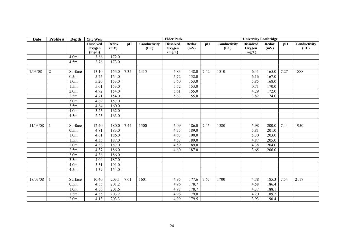| Date     | Profile #    | Depth            | <b>City Weir</b>                     |                      |      | <b>Elder Park</b>    |                                      |                      |      | <b>University Footbridge</b> |                                      |                      |      |                      |
|----------|--------------|------------------|--------------------------------------|----------------------|------|----------------------|--------------------------------------|----------------------|------|------------------------------|--------------------------------------|----------------------|------|----------------------|
|          |              |                  | <b>Dissolved</b><br>Oxygen<br>(mg/L) | <b>Redox</b><br>(mV) | pH   | Conductivity<br>(EC) | <b>Dissolved</b><br>Oxygen<br>(mg/L) | <b>Redox</b><br>(mV) | pH   | Conductivity<br>(EC)         | <b>Dissolved</b><br>Oxygen<br>(mg/L) | <b>Redox</b><br>(mV) | pH   | Conductivity<br>(EC) |
|          |              | 4.0 <sub>m</sub> | 3.86                                 | 172.0                |      |                      |                                      |                      |      |                              |                                      |                      |      |                      |
|          |              | 4.5m             | 2.76                                 | 173.0                |      |                      |                                      |                      |      |                              |                                      |                      |      |                      |
|          |              |                  |                                      |                      |      |                      |                                      |                      |      |                              |                                      |                      |      |                      |
| 7/03/08  | $\mathbf{2}$ | Surface          | 13.10                                | 153.0                | 7.35 | 1415                 | 5.83                                 | 148.0                | 7.42 | 1510                         | 6.41                                 | 165.0                | 7.27 | 1888                 |
|          |              | 0.5m             | 5.25                                 | 154.0                |      |                      | 5.72                                 | 152.0                |      |                              | 6.16                                 | 167.0                |      |                      |
|          |              | 1.0 <sub>m</sub> | 5.20                                 | 153.0                |      |                      | 5.60                                 | 153.0                |      |                              | 5.85                                 | 168.0                |      |                      |
|          |              | 1.5m             | 5.01                                 | 153.0                |      |                      | 5.52                                 | 153.0                |      |                              | 0.71                                 | 170.0                |      |                      |
|          |              | 2.0 <sub>m</sub> | 4.92                                 | 154.0                |      |                      | 5.61                                 | 155.0                |      |                              | 4.29                                 | 172.0                |      |                      |
|          |              | 2.5m             | 4.71                                 | 154.0                |      |                      | 5.63                                 | 155.0                |      |                              | 3.82                                 | 174.0                |      |                      |
|          |              | 3.0 <sub>m</sub> | 4.69                                 | 157.0                |      |                      |                                      |                      |      |                              |                                      |                      |      |                      |
|          |              | 3.5m             | 4.64                                 | 160.0                |      |                      |                                      |                      |      |                              |                                      |                      |      |                      |
|          |              | 4.0 <sub>m</sub> | 3.25                                 | 162.0                |      |                      |                                      |                      |      |                              |                                      |                      |      |                      |
|          |              | 4.5m             | 2.23                                 | 163.0                |      |                      |                                      |                      |      |                              |                                      |                      |      |                      |
|          |              |                  |                                      |                      |      |                      |                                      |                      |      |                              |                                      |                      |      |                      |
| 11/03/08 |              | Surface          | 12.40                                | 180.0                | 7.44 | 1500                 | 5.09                                 | 186.0                | 7.45 | 1580                         | 5.98                                 | 200.0                | 7.44 | 1950                 |
|          |              | 0.5m             | 4.81                                 | 183.0                |      |                      | 4.75                                 | 189.0                |      |                              | 5.81                                 | 201.0                |      |                      |
|          |              | 1.0 <sub>m</sub> | 4.61                                 | 186.0                |      |                      | 4.63                                 | 190.0                |      |                              | 5.30                                 | 203.0                |      |                      |
|          |              | 1.5m             | 4.35                                 | 187.0                |      |                      | 4.57                                 | 189.0                |      |                              | 4.87                                 | 205.0                |      |                      |
|          |              | 2.0 <sub>m</sub> | 4.36                                 | 187.0                |      |                      | 4.59                                 | 189.0                |      |                              | 4.38                                 | 204.0                |      |                      |
|          |              | 2.5m             | 4.37                                 | 186.0                |      |                      | 4.60                                 | 187.0                |      |                              | 3.65                                 | 206.0                |      |                      |
|          |              | 3.0 <sub>m</sub> | 4.36                                 | 186.0                |      |                      |                                      |                      |      |                              |                                      |                      |      |                      |
|          |              | 3.5m             | 4.04                                 | 187.0                |      |                      |                                      |                      |      |                              |                                      |                      |      |                      |
|          |              | 4.0 <sub>m</sub> | 3.51                                 | 191.0                |      |                      |                                      |                      |      |                              |                                      |                      |      |                      |
|          |              | 4.5m             | 1.39                                 | 154.0                |      |                      |                                      |                      |      |                              |                                      |                      |      |                      |
|          |              |                  |                                      |                      |      |                      |                                      |                      |      |                              |                                      |                      |      |                      |
| 18/03/08 |              | Surface          | 10.40                                | 203.1                | 7.61 | 1601                 | 4.95                                 | 177.6                | 7.67 | 1700                         | 4.78                                 | 185.3                | 7.54 | 2117                 |
|          |              | 0.5m             | 4.55                                 | 201.2                |      |                      | 4.96                                 | 178.7                |      |                              | 4.58                                 | 186.4                |      |                      |
|          |              | 1.0 <sub>m</sub> | 4.56                                 | 201.6                |      |                      | 4.97                                 | 178.7                |      |                              | 4.37                                 | 188.1                |      |                      |
|          |              | 1.5m             | 4.35                                 | 203.2                |      |                      | 4.96                                 | 179.0                |      |                              | 4.20                                 | 189.2                |      |                      |
|          |              | 2.0 <sub>m</sub> | 4.13                                 | 203.3                |      |                      | 4.99                                 | 179.5                |      |                              | 3.93                                 | 190.4                |      |                      |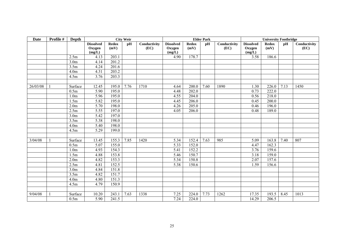| <b>Date</b> | Profile # | Depth            | <b>City Weir</b>                     |                      |      | <b>Elder Park</b>    |                                      |                      |      | <b>University Footbridge</b> |                                      |                      |      |                      |
|-------------|-----------|------------------|--------------------------------------|----------------------|------|----------------------|--------------------------------------|----------------------|------|------------------------------|--------------------------------------|----------------------|------|----------------------|
|             |           |                  | <b>Dissolved</b><br>Oxygen<br>(mg/L) | <b>Redox</b><br>(mV) | pH   | Conductivity<br>(EC) | <b>Dissolved</b><br>Oxygen<br>(mg/L) | <b>Redox</b><br>(mV) | pH   | Conductivity<br>(EC)         | <b>Dissolved</b><br>Oxygen<br>(mg/L) | <b>Redox</b><br>(mV) | pH   | Conductivity<br>(EC) |
|             |           | 2.5m             | 4.13                                 | 203.1                |      |                      | 4.90                                 | 178.7                |      |                              | 3.58                                 | 186.6                |      |                      |
|             |           | 3.0 <sub>m</sub> | 4.14                                 | 201.2                |      |                      |                                      |                      |      |                              |                                      |                      |      |                      |
|             |           | 3.5m             | 4.24                                 | 201.6                |      |                      |                                      |                      |      |                              |                                      |                      |      |                      |
|             |           | 4.0 <sub>m</sub> | 4.31                                 | 203.2                |      |                      |                                      |                      |      |                              |                                      |                      |      |                      |
|             |           | 4.5m             | 3.76                                 | 203.3                |      |                      |                                      |                      |      |                              |                                      |                      |      |                      |
|             |           |                  |                                      |                      |      |                      |                                      |                      |      |                              |                                      |                      |      |                      |
| 26/03/08    |           | Surface          | 12.45                                | 195.0                | 7.76 | 1710                 | 4.64                                 | 200.0                | 7.60 | 1890                         | 1.30                                 | 226.0                | 7.13 | 1450                 |
|             |           | 0.5m             | 5.90                                 | 195.0                |      |                      | 4.48                                 | 202.0                |      |                              | 0.73                                 | 222.0                |      |                      |
|             |           | 1.0 <sub>m</sub> | 5.96                                 | 195.0                |      |                      | 4.55                                 | 204.0                |      |                              | 0.56                                 | 218.0                |      |                      |
|             |           | 1.5m             | 5.82                                 | 195.0                |      |                      | 4.45                                 | 206.0                |      |                              | 0.45                                 | 200.0                |      |                      |
|             |           | 2.0 <sub>m</sub> | 5.70                                 | 198.0                |      |                      | 4.26                                 | 205.0                |      |                              | 0.46                                 | 196.0                |      |                      |
|             |           | 2.5m             | 5.55                                 | 197.0                |      |                      | 4.05                                 | 206.0                |      |                              | 0.48                                 | 189.0                |      |                      |
|             |           | 3.0 <sub>m</sub> | 5.42                                 | 197.0                |      |                      |                                      |                      |      |                              |                                      |                      |      |                      |
|             |           | 3.5m             | 5.38                                 | 198.0                |      |                      |                                      |                      |      |                              |                                      |                      |      |                      |
|             |           | 4.0 <sub>m</sub> | 5.40                                 | 198.0                |      |                      |                                      |                      |      |                              |                                      |                      |      |                      |
|             |           | 4.5m             | 5.29                                 | 199.0                |      |                      |                                      |                      |      |                              |                                      |                      |      |                      |
|             |           |                  |                                      |                      |      |                      |                                      |                      |      |                              |                                      |                      |      |                      |
| 3/04/08     |           | Surface          | 13.45                                | 155.3                | 7.85 | 1420                 | 5.34                                 | 152.4                | 7.63 | 985                          | 5.09                                 | 163.8                | 7.40 | 807                  |
|             |           | 0.5m             | 5.07                                 | 155.0                |      |                      | 5.33                                 | 152.0                |      |                              | 4.47                                 | 162.3                |      |                      |
|             |           | 1.0 <sub>m</sub> | 4.93                                 | 154.3                |      |                      | 5.41                                 | 152.2                |      |                              | 3.76                                 | 159.6                |      |                      |
|             |           | 1.5m             | 4.88                                 | 153.8                |      |                      | 5.46                                 | 150.7                |      |                              | 3.18                                 | 159.0                |      |                      |
|             |           | 2.0 <sub>m</sub> | 4.82                                 | 153.3                |      |                      | 5.34                                 | 150.8                |      |                              | 2.07                                 | 157.6                |      |                      |
|             |           | 2.5m             | 4.81                                 | 152.5                |      |                      | 5.38                                 | 150.6                |      |                              | 1.59                                 | 156.6                |      |                      |
|             |           | 3.0 <sub>m</sub> | 4.84                                 | 151.8                |      |                      |                                      |                      |      |                              |                                      |                      |      |                      |
|             |           | 3.5m             | 4.82                                 | 151.7                |      |                      |                                      |                      |      |                              |                                      |                      |      |                      |
|             |           | 4.0 <sub>m</sub> | 4.80                                 | 151.3                |      |                      |                                      |                      |      |                              |                                      |                      |      |                      |
|             |           | 4.5m             | 4.79                                 | 150.9                |      |                      |                                      |                      |      |                              |                                      |                      |      |                      |
|             |           |                  |                                      |                      |      |                      |                                      |                      |      |                              |                                      |                      |      |                      |
| 9/04/08     |           | Surface          | 10.20                                | 243.1                | 7.63 | 1338                 | 7.25                                 | 224.0                | 7.73 | 1262                         | 17.35                                | 193.5                | 8.45 | 1013                 |
|             |           | 0.5m             | 5.90                                 | 241.5                |      |                      | $\overline{7.24}$                    | 224.0                |      |                              | 14.29                                | 206.5                |      |                      |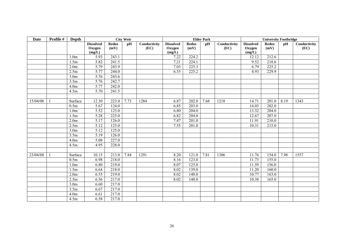| <b>Date</b> | Profile # | Depth             | <b>City Weir</b>                     |                      |      | <b>Elder Park</b>    |                                      |                      |      | <b>University Footbridge</b> |                                      |                      |      |                      |
|-------------|-----------|-------------------|--------------------------------------|----------------------|------|----------------------|--------------------------------------|----------------------|------|------------------------------|--------------------------------------|----------------------|------|----------------------|
|             |           |                   | <b>Dissolved</b><br>Oxygen<br>(mg/L) | <b>Redox</b><br>(mV) | pH   | Conductivity<br>(EC) | <b>Dissolved</b><br>Oxygen<br>(mg/L) | <b>Redox</b><br>(mV) | pH   | Conductivity<br>(EC)         | <b>Dissolved</b><br>Oxygen<br>(mg/L) | <b>Redox</b><br>(mV) | pH   | Conductivity<br>(EC) |
|             |           | 1.0 <sub>m</sub>  | 5.93                                 | 243.1                |      |                      | 7.22                                 | 224.2                |      |                              | 12.12                                | 212.6                |      |                      |
|             |           | 1.5m              | 5.82                                 | 241.5                |      |                      | 7.21                                 | 224.1                |      |                              | 9.52                                 | 218.6                |      |                      |
|             |           | 2.0 <sub>m</sub>  | 5.79                                 | 243.9                |      |                      | 7.03                                 | 225.3                |      |                              | 6.79                                 | 225.2                |      |                      |
|             |           | 2.5m              | 5.77                                 | 244.0                |      |                      | 6.55                                 | 225.2                |      |                              | 4.93                                 | 229.9                |      |                      |
|             |           | 3.0 <sub>m</sub>  | 5.76                                 | 243.6                |      |                      |                                      |                      |      |                              |                                      |                      |      |                      |
|             |           | 3.5m              | 5.76                                 | 242.7                |      |                      |                                      |                      |      |                              |                                      |                      |      |                      |
|             |           | 4.0 <sub>m</sub>  | 5.77                                 | 242.0                |      |                      |                                      |                      |      |                              |                                      |                      |      |                      |
|             |           | 4.5m              | 5.70                                 | 241.5                |      |                      |                                      |                      |      |                              |                                      |                      |      |                      |
|             |           |                   |                                      |                      |      |                      |                                      |                      |      |                              |                                      |                      |      |                      |
| 15/04/08    |           | Surface           | 12.30                                | 223.0                | 7.73 | 1284                 | 6.87                                 | 202.0                | 7.68 | 1218                         | 14.71                                | 201.0                | 8.19 | 1343                 |
|             |           | 0.5m              | 5.67                                 | 124.0                |      |                      | 6.85                                 | 203.0                |      |                              | 14.03                                | 202.0                |      |                      |
|             |           | 1.0 <sub>m</sub>  | 5.52                                 | 125.0                |      |                      | 6.80                                 | 204.0                |      |                              | 13.32                                | 204.0                |      |                      |
|             |           | 1.5m              | 5.28                                 | 225.0                |      |                      | 6.82                                 | 204.0                |      |                              | 12.67                                | 207.0                |      |                      |
|             |           | 2.0 <sub>m</sub>  | 5.17                                 | 126.0                |      |                      | 7.47                                 | 201.0                |      |                              | 11.91                                | 210.0                |      |                      |
|             |           | 2.5m              | 5.12                                 | 125.0                |      |                      | 7.55                                 | 201.0                |      |                              | 10.31                                | 215.0                |      |                      |
|             |           | 3.0 <sub>m</sub>  | 5.12                                 | 125.0                |      |                      |                                      |                      |      |                              |                                      |                      |      |                      |
|             |           | 3.5m              | $\overline{5.19}$                    | 126.0                |      |                      |                                      |                      |      |                              |                                      |                      |      |                      |
|             |           | 4.0 <sub>m</sub>  | 5.08                                 | 227.0                |      |                      |                                      |                      |      |                              |                                      |                      |      |                      |
|             |           | 4.5m              | 4.95                                 | 228.0                |      |                      |                                      |                      |      |                              |                                      |                      |      |                      |
|             |           |                   |                                      |                      |      |                      |                                      |                      |      |                              |                                      |                      |      |                      |
| 23/04/08    |           | Surface           | 10.15                                | 213.0                | 7.84 | 1291                 | 8.20                                 | 121.0                | 7.81 | 1306                         | 11.76                                | 154.0                | 7.98 | 1557                 |
|             |           | 0.5m              | 6.98                                 | 218.0                |      |                      | 8.16                                 | 123.0                |      |                              | 11.73                                | 155.0                |      |                      |
|             |           | 1.0 <sub>m</sub>  | 6.80                                 | 219.0                |      |                      | 8.07                                 | 125.0                |      |                              | 11.59                                | 156.0                |      |                      |
|             |           | 1.5m              | 6.64                                 | 218.0                |      |                      | 8.02                                 | 139.0                |      |                              | 11.20                                | 160.0                |      |                      |
|             |           | 2.0 <sub>m</sub>  | 6.55                                 | 219.0                |      |                      | 8.02                                 | 140.0                |      |                              | 10.77                                | 163.0                |      |                      |
|             |           | $\overline{2.5m}$ | 6.56                                 | 217.0                |      |                      | 8.02                                 | 140.0                |      |                              | 10.38                                | 165.0                |      |                      |
|             |           | 3.0 <sub>m</sub>  | 6.60                                 | 217.0                |      |                      |                                      |                      |      |                              |                                      |                      |      |                      |
|             |           | 3.5m              | 6.67                                 | 217.0                |      |                      |                                      |                      |      |                              |                                      |                      |      |                      |
|             |           | 4.0 <sub>m</sub>  | 6.61                                 | 217.0                |      |                      |                                      |                      |      |                              |                                      |                      |      |                      |
|             |           | 4.5m              | 6.58                                 | 217.0                |      |                      |                                      |                      |      |                              |                                      |                      |      |                      |